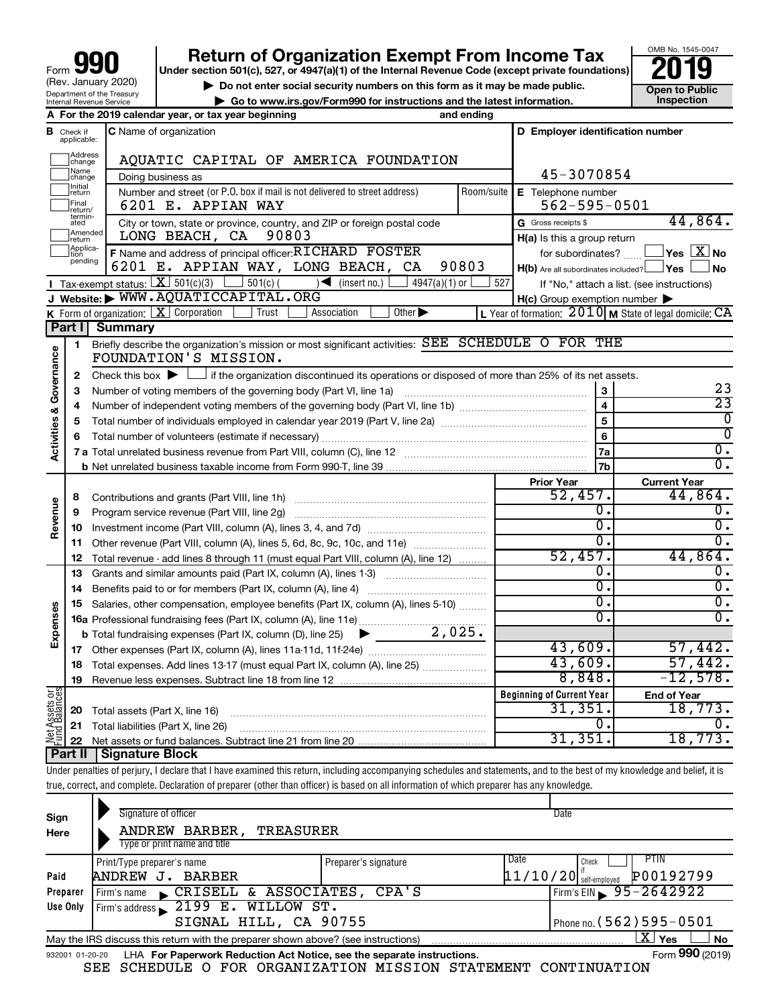| 990<br>Form                                                   |
|---------------------------------------------------------------|
| (Rev. January 2020)                                           |
| Department of the Treasury<br><b>Internal Revenue Service</b> |

# **Return of Organization Exempt From Income Tax**<br>r section 501(c), 527, or 4947(a)(1) of the Internal Revenue Code (except private foundations)<br>**2019**

**Under section 501(c), 527, or 4947(a)(1) of the Internal Revenue Code (except private foundations)**

**b** Do not enter social security numbers on this form as it may be made public.<br> **Go to www.irs.gov/Form990 for instructions and the latest information. This impection | Go to www.irs.gov/Form990 for instructions and the latest information. Inspection**



|                                    |                              | A For the 2019 calendar year, or tax year beginning                                                                                                         | and ending         |                                                         |                                                             |
|------------------------------------|------------------------------|-------------------------------------------------------------------------------------------------------------------------------------------------------------|--------------------|---------------------------------------------------------|-------------------------------------------------------------|
| В                                  | Check if<br>applicable:      | <b>C</b> Name of organization                                                                                                                               |                    | D Employer identification number                        |                                                             |
|                                    | Address<br>change            | AQUATIC CAPITAL OF AMERICA FOUNDATION                                                                                                                       |                    |                                                         |                                                             |
|                                    | Name<br>change               | Doing business as                                                                                                                                           |                    | 45-3070854                                              |                                                             |
|                                    | Initial<br>return            | Number and street (or P.O. box if mail is not delivered to street address)                                                                                  | Room/suite         | E Telephone number                                      |                                                             |
|                                    | Final<br>return/             | 6201 E. APPIAN WAY                                                                                                                                          | $562 - 595 - 0501$ |                                                         |                                                             |
|                                    | termin-<br>ated<br>Amended   | City or town, state or province, country, and ZIP or foreign postal code                                                                                    |                    | G Gross receipts \$                                     | 44,864.                                                     |
|                                    | return                       | 90803<br>LONG BEACH, CA                                                                                                                                     |                    | H(a) Is this a group return                             |                                                             |
|                                    | Applica-<br>Ition<br>pending | F Name and address of principal officer: RICHARD FOSTER                                                                                                     |                    | for subordinates?                                       | $\mathsf{Yes}\ \boxed{\mathbf{X}}\ \mathsf{No}$             |
|                                    |                              | 6201 E. APPIAN WAY, LONG BEACH, CA                                                                                                                          | 90803              | $H(b)$ Are all subordinates included? $\Box$ Yes $\Box$ | ⊥No                                                         |
|                                    |                              | Tax-exempt status: $X \over 301(c)(3)$<br>$\frac{1}{2}$ 501(c) (<br>$\sqrt{\frac{1}{1}}$ (insert no.)<br>4947(a)(1) or<br>J Website: WWW.AQUATICCAPITAL.ORG | 527                |                                                         | If "No," attach a list. (see instructions)                  |
|                                    |                              | K Form of organization: $X$ Corporation<br>Other $\blacktriangleright$<br>Trust<br>Association                                                              |                    | $H(c)$ Group exemption number $\blacktriangleright$     | L Year of formation: $2010$ M State of legal domicile: $CA$ |
|                                    | Part II                      | <b>Summary</b>                                                                                                                                              |                    |                                                         |                                                             |
|                                    | $\mathbf{1}$                 | Briefly describe the organization's mission or most significant activities: SEE SCHEDULE O FOR THE                                                          |                    |                                                         |                                                             |
| <b>Activities &amp; Governance</b> |                              | FOUNDATION'S MISSION.                                                                                                                                       |                    |                                                         |                                                             |
|                                    | 2                            | Check this box $\blacktriangleright$ $\Box$ if the organization discontinued its operations or disposed of more than 25% of its net assets.                 |                    |                                                         |                                                             |
|                                    | 3                            |                                                                                                                                                             |                    | 3                                                       | 23                                                          |
|                                    | 4                            |                                                                                                                                                             |                    | $\overline{\mathbf{4}}$                                 | $\overline{23}$                                             |
|                                    | 5                            |                                                                                                                                                             |                    | 5                                                       | 0                                                           |
|                                    | 6                            |                                                                                                                                                             |                    | 6                                                       | $\Omega$                                                    |
|                                    |                              |                                                                                                                                                             |                    | 7a                                                      | $\overline{0}$ .                                            |
|                                    |                              |                                                                                                                                                             |                    | 7 <sub>b</sub>                                          | σ.                                                          |
|                                    |                              |                                                                                                                                                             |                    | <b>Prior Year</b><br>52,457.                            | <b>Current Year</b><br>44,864.                              |
|                                    | 8                            |                                                                                                                                                             |                    | $\overline{0}$ .                                        | О.                                                          |
| Revenue                            | 9                            | Program service revenue (Part VIII, line 2g)                                                                                                                |                    | $\overline{0}$                                          | $\overline{0}$ .                                            |
|                                    | 10<br>11                     | Other revenue (Part VIII, column (A), lines 5, 6d, 8c, 9c, 10c, and 11e)                                                                                    |                    | О.                                                      | Ο.                                                          |
|                                    | 12                           | Total revenue - add lines 8 through 11 (must equal Part VIII, column (A), line 12)                                                                          |                    | 52,457.                                                 | 44,864.                                                     |
|                                    | 13                           | Grants and similar amounts paid (Part IX, column (A), lines 1-3)                                                                                            |                    | 0.                                                      | Ο.                                                          |
|                                    | 14                           |                                                                                                                                                             |                    | $\overline{0}$ .                                        | $\overline{\mathfrak{o}}$ .                                 |
|                                    | 15                           | Salaries, other compensation, employee benefits (Part IX, column (A), lines 5-10)                                                                           |                    | О.                                                      | $\overline{0}$ .                                            |
| Expenses                           |                              |                                                                                                                                                             |                    | σ.                                                      | $\overline{0}$ .                                            |
|                                    |                              | 2,025.<br><b>b</b> Total fundraising expenses (Part IX, column (D), line 25) $\blacktriangleright$                                                          |                    |                                                         |                                                             |
|                                    |                              |                                                                                                                                                             |                    | 43,609.                                                 | 57,442.                                                     |
|                                    | 18                           | Total expenses. Add lines 13-17 (must equal Part IX, column (A), line 25)                                                                                   |                    | 43,609.                                                 | 57,442.                                                     |
|                                    | 19                           |                                                                                                                                                             |                    | 8,848.                                                  | $-12,578.$                                                  |
| $rac{\text{or}}{\text{cos}}$       |                              |                                                                                                                                                             |                    | <b>Beginning of Current Year</b>                        | <b>End of Year</b>                                          |
|                                    | 20                           | Total assets (Part X, line 16)                                                                                                                              |                    | 31,351.                                                 | 18,773.                                                     |
| <b>Net Assets</b><br>Fund Balanc   | 21                           | Total liabilities (Part X, line 26)                                                                                                                         |                    | 0.<br>31, 351.                                          | $\overline{0}$ .<br>18,773.                                 |
|                                    | 22<br>Part II                | Signature Block                                                                                                                                             |                    |                                                         |                                                             |
|                                    |                              |                                                                                                                                                             |                    |                                                         |                                                             |

Under penalties of perjury, I declare that I have examined this return, including accompanying schedules and statements, and to the best of my knowledge and belief, it is true, correct, and complete. Declaration of preparer (other than officer) is based on all information of which preparer has any knowledge. ⊤.

| Sign<br>Here    | Signature of officer<br>ANDREW BARBER,<br><b>TREASURER</b><br>Type or print name and title |                                     | Date                                                           |                 |
|-----------------|--------------------------------------------------------------------------------------------|-------------------------------------|----------------------------------------------------------------|-----------------|
| Paid            | Print/Type preparer's name<br>ANDREW J.<br><b>BARBER</b>                                   | Preparer's signature                | PTIN<br>Date<br>Check<br>P00192799<br>$11/10/20$ self-employed |                 |
| Preparer        | CRISELL & ASSOCIATES, CPA'S<br>Firm's name                                                 | Firm's EIN $\frac{95 - 2642922}{ }$ |                                                                |                 |
| Use Only        | Firm's address 2199 E. WILLOW ST.<br>SIGNAL HILL, CA 90755                                 |                                     | Phone no. $(562)$ 595 - 0501                                   |                 |
|                 | May the IRS discuss this return with the preparer shown above? (see instructions)          |                                     | $\mathbf{X}$ Yes                                               | <b>No</b>       |
| 932001 01-20-20 | LHA For Paperwork Reduction Act Notice, see the separate instructions.                     |                                     |                                                                | Form 990 (2019) |

SEE SCHEDULE O FOR ORGANIZATION MISSION STATEMENT CONTINUATION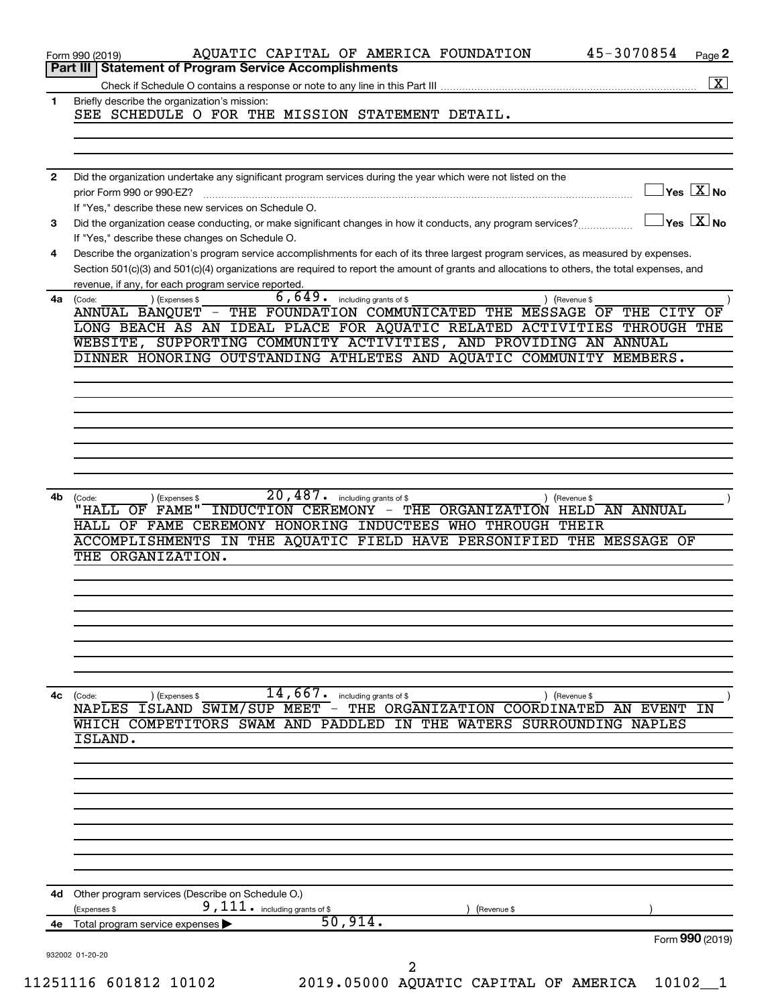|      | 45-3070854<br>AQUATIC CAPITAL OF AMERICA FOUNDATION<br>Page 2<br>Form 990 (2019)<br><b>Statement of Program Service Accomplishments</b><br>Part III                                                                                                                                                                                                                                    |
|------|----------------------------------------------------------------------------------------------------------------------------------------------------------------------------------------------------------------------------------------------------------------------------------------------------------------------------------------------------------------------------------------|
|      |                                                                                                                                                                                                                                                                                                                                                                                        |
| 1    | Briefly describe the organization's mission:<br>SEE SCHEDULE O FOR THE MISSION STATEMENT DETAIL.                                                                                                                                                                                                                                                                                       |
|      |                                                                                                                                                                                                                                                                                                                                                                                        |
|      |                                                                                                                                                                                                                                                                                                                                                                                        |
| 2    | Did the organization undertake any significant program services during the year which were not listed on the<br>$\sqrt{}$ Yes $\sqrt{ \ \overline{\mathrm{X}}}$ No<br>prior Form 990 or 990-EZ?<br>If "Yes," describe these new services on Schedule O.                                                                                                                                |
| 3    | $ {\mathsf Y}{\mathsf e}{\mathsf s}^\top\overline{{\mathbf X}} $ No<br>Did the organization cease conducting, or make significant changes in how it conducts, any program services?                                                                                                                                                                                                    |
| 4    | If "Yes," describe these changes on Schedule O.<br>Describe the organization's program service accomplishments for each of its three largest program services, as measured by expenses.<br>Section 501(c)(3) and 501(c)(4) organizations are required to report the amount of grants and allocations to others, the total expenses, and                                                |
|      | revenue, if any, for each program service reported.                                                                                                                                                                                                                                                                                                                                    |
| 4a l | 6,649.<br>including grants of \$<br>(Expenses \$<br>(Code:<br>) (Revenue \$<br>ANNUAL BANQUET - THE FOUNDATION COMMUNICATED THE MESSAGE OF<br>THE CITY<br>OF<br>LONG BEACH AS AN IDEAL PLACE FOR AQUATIC RELATED ACTIVITIES THROUGH THE<br>WEBSITE, SUPPORTING COMMUNITY ACTIVITIES, AND PROVIDING AN ANNUAL<br>DINNER HONORING OUTSTANDING ATHLETES AND AQUATIC COMMUNITY<br>MEMBERS. |
|      |                                                                                                                                                                                                                                                                                                                                                                                        |
|      |                                                                                                                                                                                                                                                                                                                                                                                        |
|      |                                                                                                                                                                                                                                                                                                                                                                                        |
|      |                                                                                                                                                                                                                                                                                                                                                                                        |
|      |                                                                                                                                                                                                                                                                                                                                                                                        |
| 4b.  | 20,487.<br>including grants of \$<br>(Expenses \$<br>) (Revenue \$<br>(Code:<br>"HALL OF FAME"<br>INDUCTION CEREMONY -<br>THE ORGANIZATION HELD AN ANNUAL<br>HALL OF FAME CEREMONY HONORING INDUCTEES WHO THROUGH THEIR<br>ACCOMPLISHMENTS IN THE AQUATIC FIELD HAVE PERSONIFIED THE MESSAGE OF<br>THE ORGANIZATION.                                                                   |
|      |                                                                                                                                                                                                                                                                                                                                                                                        |
|      |                                                                                                                                                                                                                                                                                                                                                                                        |
| 4с   | 14,667.<br>including grants of \$<br>) (Expenses \$<br>(Code:<br>) (Revenue \$<br>NAPLES ISLAND SWIM/SUP MEET - THE ORGANIZATION COORDINATED AN EVENT<br>WHICH COMPETITORS SWAM AND PADDLED IN<br>THE WATERS SURROUNDING NAPLES<br>ISLAND.                                                                                                                                             |
|      |                                                                                                                                                                                                                                                                                                                                                                                        |
|      |                                                                                                                                                                                                                                                                                                                                                                                        |
|      |                                                                                                                                                                                                                                                                                                                                                                                        |
|      |                                                                                                                                                                                                                                                                                                                                                                                        |
|      |                                                                                                                                                                                                                                                                                                                                                                                        |
|      | 4d Other program services (Describe on Schedule O.)<br>9, 111. including grants of \$<br>(Expenses \$<br>(Revenue \$<br>50,914.                                                                                                                                                                                                                                                        |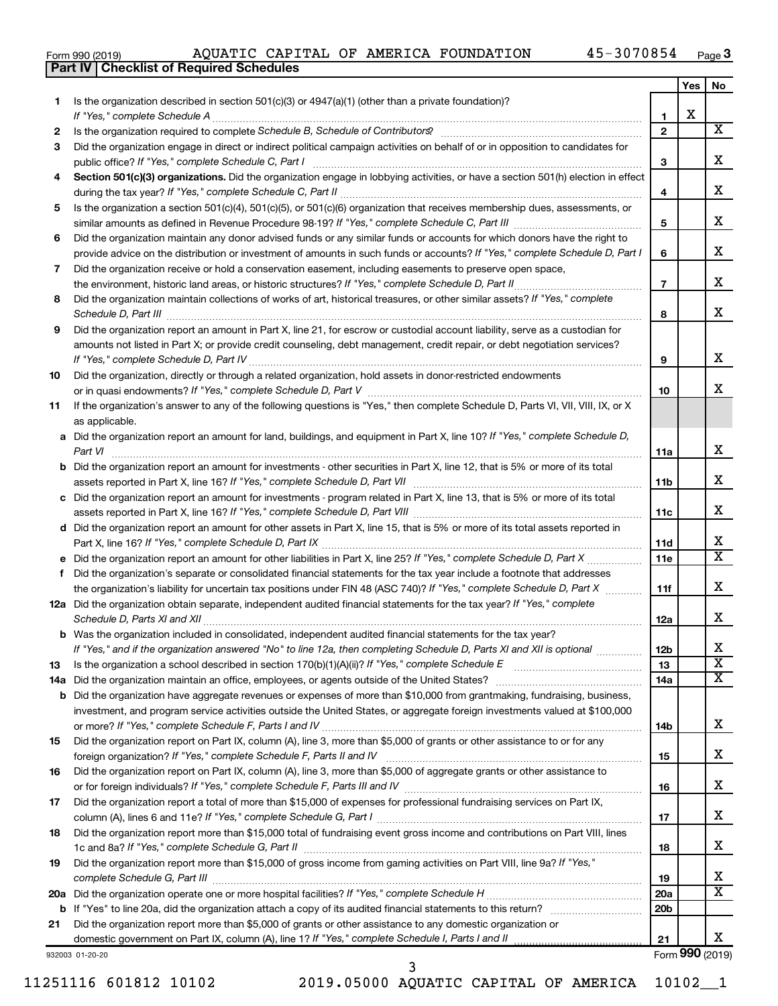|  | Form 990 (2019) |
|--|-----------------|
|  |                 |

**Part IV Checklist of Required Schedules**

|     |                                                                                                                                                                 |                 | Yes | No                                                 |
|-----|-----------------------------------------------------------------------------------------------------------------------------------------------------------------|-----------------|-----|----------------------------------------------------|
| 1   | Is the organization described in section $501(c)(3)$ or $4947(a)(1)$ (other than a private foundation)?                                                         |                 |     |                                                    |
|     | If "Yes," complete Schedule A                                                                                                                                   | 1               | х   |                                                    |
| 2   | Is the organization required to complete Schedule B, Schedule of Contributors? [11] the organization required to complete Schedule B, Schedule of Contributors? | $\overline{2}$  |     | $\overline{\text{X}}$                              |
| З   | Did the organization engage in direct or indirect political campaign activities on behalf of or in opposition to candidates for                                 |                 |     |                                                    |
|     |                                                                                                                                                                 | З               |     | х                                                  |
| 4   | Section 501(c)(3) organizations. Did the organization engage in lobbying activities, or have a section 501(h) election in effect                                |                 |     |                                                    |
|     |                                                                                                                                                                 | 4               |     | х                                                  |
| 5   | Is the organization a section 501(c)(4), 501(c)(5), or 501(c)(6) organization that receives membership dues, assessments, or                                    |                 |     |                                                    |
|     |                                                                                                                                                                 | 5               |     | x                                                  |
| 6   | Did the organization maintain any donor advised funds or any similar funds or accounts for which donors have the right to                                       |                 |     |                                                    |
|     | provide advice on the distribution or investment of amounts in such funds or accounts? If "Yes," complete Schedule D, Part I                                    | 6               |     | x                                                  |
| 7   | Did the organization receive or hold a conservation easement, including easements to preserve open space,                                                       | $\overline{7}$  |     | х                                                  |
|     | .                                                                                                                                                               |                 |     |                                                    |
| 8   | Did the organization maintain collections of works of art, historical treasures, or other similar assets? If "Yes," complete                                    |                 |     | x                                                  |
| 9   | Did the organization report an amount in Part X, line 21, for escrow or custodial account liability, serve as a custodian for                                   | 8               |     |                                                    |
|     | amounts not listed in Part X; or provide credit counseling, debt management, credit repair, or debt negotiation services?                                       |                 |     |                                                    |
|     |                                                                                                                                                                 | 9               |     | x                                                  |
| 10  | Did the organization, directly or through a related organization, hold assets in donor-restricted endowments                                                    |                 |     |                                                    |
|     |                                                                                                                                                                 | 10              |     | x                                                  |
| 11  | If the organization's answer to any of the following questions is "Yes," then complete Schedule D, Parts VI, VII, VIII, IX, or X                                |                 |     |                                                    |
|     | as applicable.                                                                                                                                                  |                 |     |                                                    |
|     | a Did the organization report an amount for land, buildings, and equipment in Part X, line 10? If "Yes," complete Schedule D,                                   |                 |     |                                                    |
|     | Part VI                                                                                                                                                         | 11a             |     | х                                                  |
|     | <b>b</b> Did the organization report an amount for investments - other securities in Part X, line 12, that is 5% or more of its total                           |                 |     |                                                    |
|     | 11 <sub>b</sub>                                                                                                                                                 |                 |     | x                                                  |
|     | c Did the organization report an amount for investments - program related in Part X, line 13, that is 5% or more of its total                                   |                 |     |                                                    |
|     |                                                                                                                                                                 | 11c             |     | x                                                  |
|     | d Did the organization report an amount for other assets in Part X, line 15, that is 5% or more of its total assets reported in                                 |                 |     |                                                    |
|     |                                                                                                                                                                 | 11d             |     | x                                                  |
|     |                                                                                                                                                                 | 11e             |     | $\overline{\text{X}}$                              |
| f   | Did the organization's separate or consolidated financial statements for the tax year include a footnote that addresses                                         |                 |     |                                                    |
|     | the organization's liability for uncertain tax positions under FIN 48 (ASC 740)? If "Yes," complete Schedule D, Part X                                          | 11f             |     | x                                                  |
|     | 12a Did the organization obtain separate, independent audited financial statements for the tax year? If "Yes," complete                                         |                 |     |                                                    |
|     | Schedule D, Parts XI and XII                                                                                                                                    | 12a             |     | x                                                  |
|     | <b>b</b> Was the organization included in consolidated, independent audited financial statements for the tax year?                                              |                 |     |                                                    |
|     | If "Yes," and if the organization answered "No" to line 12a, then completing Schedule D, Parts XI and XII is optional www.                                      | 12 <sub>b</sub> |     | Χ                                                  |
| 13  |                                                                                                                                                                 | 13              |     | $\overline{\textbf{x}}$<br>$\overline{\texttt{X}}$ |
| 14a |                                                                                                                                                                 | 14a             |     |                                                    |
|     | <b>b</b> Did the organization have aggregate revenues or expenses of more than \$10,000 from grantmaking, fundraising, business,                                |                 |     |                                                    |
|     | investment, and program service activities outside the United States, or aggregate foreign investments valued at \$100,000                                      |                 |     | x                                                  |
| 15  | Did the organization report on Part IX, column (A), line 3, more than \$5,000 of grants or other assistance to or for any                                       | 14b             |     |                                                    |
|     |                                                                                                                                                                 | 15              |     | x                                                  |
| 16  | Did the organization report on Part IX, column (A), line 3, more than \$5,000 of aggregate grants or other assistance to                                        |                 |     |                                                    |
|     |                                                                                                                                                                 | 16              |     | x                                                  |
| 17  | Did the organization report a total of more than \$15,000 of expenses for professional fundraising services on Part IX,                                         |                 |     |                                                    |
|     |                                                                                                                                                                 | 17              |     | x                                                  |
| 18  | Did the organization report more than \$15,000 total of fundraising event gross income and contributions on Part VIII, lines                                    |                 |     |                                                    |
|     |                                                                                                                                                                 | 18              |     | x                                                  |
| 19  | Did the organization report more than \$15,000 of gross income from gaming activities on Part VIII, line 9a? If "Yes,"                                          |                 |     |                                                    |
|     |                                                                                                                                                                 | 19              |     | x                                                  |
|     |                                                                                                                                                                 | 20a             |     | $\overline{\text{X}}$                              |
|     | <b>b</b> If "Yes" to line 20a, did the organization attach a copy of its audited financial statements to this return?                                           | 20 <sub>b</sub> |     |                                                    |
| 21  | Did the organization report more than \$5,000 of grants or other assistance to any domestic organization or                                                     |                 |     |                                                    |
|     | domestic government on Part IX, column (A), line 1? If "Yes," complete Schedule I, Parts I and II                                                               | 21              |     | x                                                  |
|     | 932003 01-20-20                                                                                                                                                 |                 |     | Form 990 (2019)                                    |

11251116 601812 10102 2019.05000 AQUATIC CAPITAL OF AMERICA 10102\_\_1 3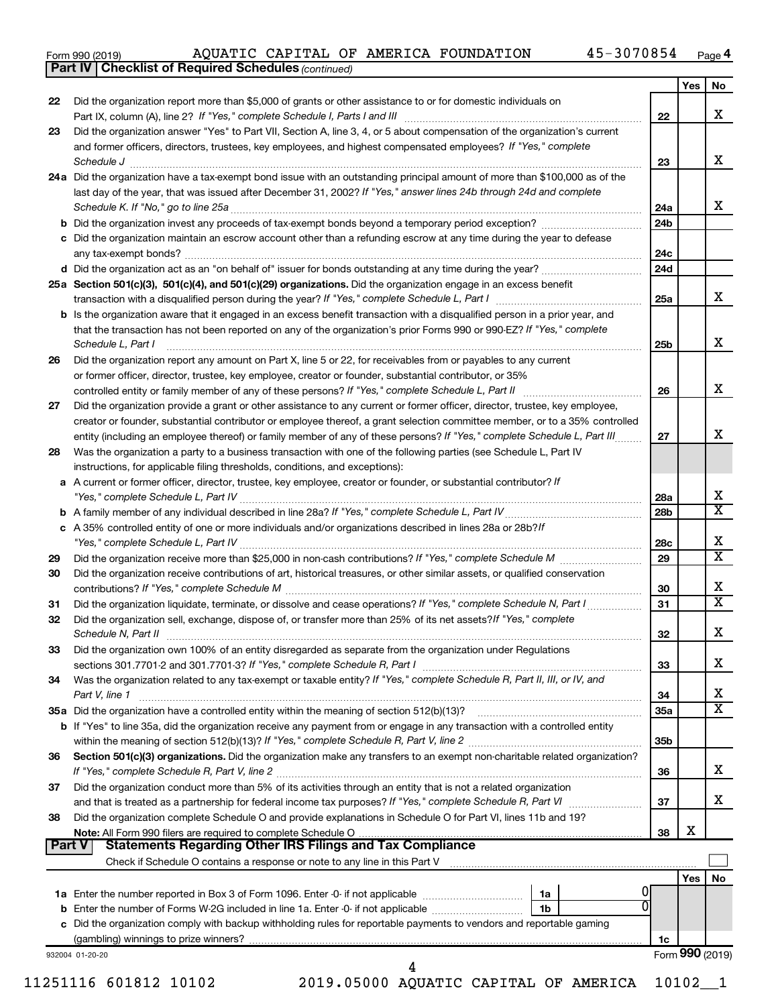| Form 990 (2019) |  |
|-----------------|--|
|-----------------|--|

*(continued)* **Part IV Checklist of Required Schedules**

|               |                                                                                                                                                                                                                                                         |                        | Yes | No                      |
|---------------|---------------------------------------------------------------------------------------------------------------------------------------------------------------------------------------------------------------------------------------------------------|------------------------|-----|-------------------------|
| 22            | Did the organization report more than \$5,000 of grants or other assistance to or for domestic individuals on                                                                                                                                           |                        |     |                         |
|               |                                                                                                                                                                                                                                                         | 22                     |     | x                       |
| 23            | Did the organization answer "Yes" to Part VII, Section A, line 3, 4, or 5 about compensation of the organization's current                                                                                                                              |                        |     |                         |
|               | and former officers, directors, trustees, key employees, and highest compensated employees? If "Yes," complete                                                                                                                                          |                        |     |                         |
|               | Schedule J <b>Execute Schedule J Execute Schedule J</b>                                                                                                                                                                                                 | 23                     |     | x                       |
|               | 24a Did the organization have a tax-exempt bond issue with an outstanding principal amount of more than \$100,000 as of the                                                                                                                             |                        |     |                         |
|               | last day of the year, that was issued after December 31, 2002? If "Yes," answer lines 24b through 24d and complete                                                                                                                                      |                        |     | x                       |
|               |                                                                                                                                                                                                                                                         | 24a<br>24 <sub>b</sub> |     |                         |
|               | c Did the organization maintain an escrow account other than a refunding escrow at any time during the year to defease                                                                                                                                  |                        |     |                         |
|               |                                                                                                                                                                                                                                                         | 24c                    |     |                         |
|               |                                                                                                                                                                                                                                                         | 24d                    |     |                         |
|               | 25a Section 501(c)(3), 501(c)(4), and 501(c)(29) organizations. Did the organization engage in an excess benefit                                                                                                                                        |                        |     |                         |
|               |                                                                                                                                                                                                                                                         | 25a                    |     | x                       |
|               | <b>b</b> Is the organization aware that it engaged in an excess benefit transaction with a disqualified person in a prior year, and                                                                                                                     |                        |     |                         |
|               | that the transaction has not been reported on any of the organization's prior Forms 990 or 990-EZ? If "Yes," complete                                                                                                                                   |                        |     |                         |
|               | Schedule L, Part I                                                                                                                                                                                                                                      | 25b                    |     | x                       |
| 26            | Did the organization report any amount on Part X, line 5 or 22, for receivables from or payables to any current                                                                                                                                         |                        |     |                         |
|               | or former officer, director, trustee, key employee, creator or founder, substantial contributor, or 35%                                                                                                                                                 |                        |     |                         |
|               | controlled entity or family member of any of these persons? If "Yes," complete Schedule L, Part II                                                                                                                                                      | 26                     |     | x                       |
| 27            | Did the organization provide a grant or other assistance to any current or former officer, director, trustee, key employee,                                                                                                                             |                        |     |                         |
|               | creator or founder, substantial contributor or employee thereof, a grant selection committee member, or to a 35% controlled<br>entity (including an employee thereof) or family member of any of these persons? If "Yes," complete Schedule L, Part III | 27                     |     | X                       |
| 28            | Was the organization a party to a business transaction with one of the following parties (see Schedule L, Part IV                                                                                                                                       |                        |     |                         |
|               | instructions, for applicable filing thresholds, conditions, and exceptions):                                                                                                                                                                            |                        |     |                         |
|               | a A current or former officer, director, trustee, key employee, creator or founder, or substantial contributor? If                                                                                                                                      |                        |     |                         |
|               |                                                                                                                                                                                                                                                         | 28a                    |     | X                       |
|               |                                                                                                                                                                                                                                                         | 28 <sub>b</sub>        |     | $\overline{\mathtt{x}}$ |
|               | c A 35% controlled entity of one or more individuals and/or organizations described in lines 28a or 28b?If                                                                                                                                              |                        |     |                         |
|               |                                                                                                                                                                                                                                                         | 28c                    |     | x                       |
| 29            |                                                                                                                                                                                                                                                         | 29                     |     | $\overline{\mathtt{x}}$ |
| 30            | Did the organization receive contributions of art, historical treasures, or other similar assets, or qualified conservation                                                                                                                             |                        |     | х                       |
|               | Did the organization liquidate, terminate, or dissolve and cease operations? If "Yes," complete Schedule N, Part I                                                                                                                                      | 30<br>31               |     | $\overline{\mathtt{x}}$ |
| 31<br>32      | Did the organization sell, exchange, dispose of, or transfer more than 25% of its net assets? If "Yes," complete                                                                                                                                        |                        |     |                         |
|               |                                                                                                                                                                                                                                                         | 32                     |     | x                       |
| 33            | Did the organization own 100% of an entity disregarded as separate from the organization under Regulations                                                                                                                                              |                        |     |                         |
|               |                                                                                                                                                                                                                                                         | 33                     |     | х                       |
| 34            | Was the organization related to any tax-exempt or taxable entity? If "Yes," complete Schedule R, Part II, III, or IV, and                                                                                                                               |                        |     |                         |
|               | Part V, line 1                                                                                                                                                                                                                                          | 34                     |     | x                       |
|               |                                                                                                                                                                                                                                                         | 35a                    |     | $\overline{\texttt{x}}$ |
|               | b If "Yes" to line 35a, did the organization receive any payment from or engage in any transaction with a controlled entity                                                                                                                             |                        |     |                         |
|               |                                                                                                                                                                                                                                                         | 35 <sub>b</sub>        |     |                         |
| 36            | Section 501(c)(3) organizations. Did the organization make any transfers to an exempt non-charitable related organization?                                                                                                                              |                        |     | x                       |
| 37            | Did the organization conduct more than 5% of its activities through an entity that is not a related organization                                                                                                                                        | 36                     |     |                         |
|               |                                                                                                                                                                                                                                                         | 37                     |     | x                       |
| 38            | Did the organization complete Schedule O and provide explanations in Schedule O for Part VI, lines 11b and 19?                                                                                                                                          |                        |     |                         |
|               |                                                                                                                                                                                                                                                         | 38                     | X   |                         |
| <b>Part V</b> | <b>Statements Regarding Other IRS Filings and Tax Compliance</b>                                                                                                                                                                                        |                        |     |                         |
|               |                                                                                                                                                                                                                                                         |                        |     |                         |
|               |                                                                                                                                                                                                                                                         |                        | Yes | No                      |
|               | 0<br>1a<br>0                                                                                                                                                                                                                                            |                        |     |                         |
|               | 1 <sub>b</sub>                                                                                                                                                                                                                                          |                        |     |                         |
|               | c Did the organization comply with backup withholding rules for reportable payments to vendors and reportable gaming                                                                                                                                    |                        |     |                         |
|               | 932004 01-20-20                                                                                                                                                                                                                                         | 1c                     |     | Form 990 (2019)         |
|               | 4                                                                                                                                                                                                                                                       |                        |     |                         |

11251116 601812 10102 2019.05000 AQUATIC CAPITAL OF AMERICA 10102\_\_1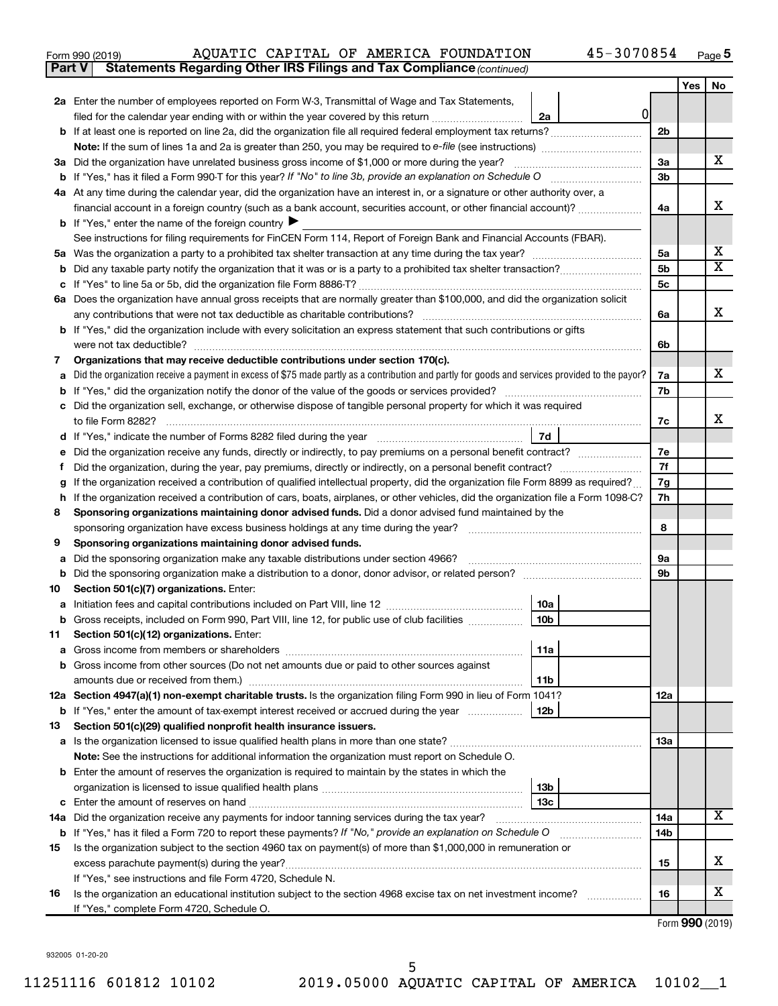| Form 990 (2019) |  |  | AQUATIC CAPITAL OF AMERICA FOUNDATION                                               | 45-3070854 | Page |
|-----------------|--|--|-------------------------------------------------------------------------------------|------------|------|
|                 |  |  | <b>Part V</b> Statements Regarding Other IRS Filings and Tax Compliance (continued) |            |      |

|    |                                                                                                                                                                                                                                                                             |                | Yes | No |  |  |  |
|----|-----------------------------------------------------------------------------------------------------------------------------------------------------------------------------------------------------------------------------------------------------------------------------|----------------|-----|----|--|--|--|
|    | <b>2a</b> Enter the number of employees reported on Form W-3, Transmittal of Wage and Tax Statements,                                                                                                                                                                       |                |     |    |  |  |  |
|    | 0l<br>filed for the calendar year ending with or within the year covered by this return<br>2a                                                                                                                                                                               |                |     |    |  |  |  |
|    |                                                                                                                                                                                                                                                                             | 2 <sub>b</sub> |     |    |  |  |  |
|    |                                                                                                                                                                                                                                                                             |                |     |    |  |  |  |
|    | 3a Did the organization have unrelated business gross income of \$1,000 or more during the year?                                                                                                                                                                            |                |     |    |  |  |  |
|    |                                                                                                                                                                                                                                                                             |                |     |    |  |  |  |
|    | 4a At any time during the calendar year, did the organization have an interest in, or a signature or other authority over, a                                                                                                                                                |                |     |    |  |  |  |
|    | financial account in a foreign country (such as a bank account, securities account, or other financial account)?                                                                                                                                                            |                |     |    |  |  |  |
|    | <b>b</b> If "Yes," enter the name of the foreign country $\blacktriangleright$                                                                                                                                                                                              |                |     |    |  |  |  |
|    | See instructions for filing requirements for FinCEN Form 114, Report of Foreign Bank and Financial Accounts (FBAR).                                                                                                                                                         |                |     |    |  |  |  |
| 5а |                                                                                                                                                                                                                                                                             | 5a             |     | х  |  |  |  |
| b  |                                                                                                                                                                                                                                                                             | 5 <sub>b</sub> |     | X  |  |  |  |
|    |                                                                                                                                                                                                                                                                             | 5 <sub>c</sub> |     |    |  |  |  |
|    | 6a Does the organization have annual gross receipts that are normally greater than \$100,000, and did the organization solicit                                                                                                                                              |                |     |    |  |  |  |
|    |                                                                                                                                                                                                                                                                             | 6а             |     | x  |  |  |  |
|    | <b>b</b> If "Yes," did the organization include with every solicitation an express statement that such contributions or gifts                                                                                                                                               |                |     |    |  |  |  |
|    | were not tax deductible?                                                                                                                                                                                                                                                    | 6b             |     |    |  |  |  |
| 7  | Organizations that may receive deductible contributions under section 170(c).                                                                                                                                                                                               |                |     |    |  |  |  |
| a  | Did the organization receive a payment in excess of \$75 made partly as a contribution and partly for goods and services provided to the payor?                                                                                                                             | 7a             |     | x. |  |  |  |
| b  | If "Yes," did the organization notify the donor of the value of the goods or services provided?                                                                                                                                                                             | 7b             |     |    |  |  |  |
|    | Did the organization sell, exchange, or otherwise dispose of tangible personal property for which it was required                                                                                                                                                           |                |     | x  |  |  |  |
|    |                                                                                                                                                                                                                                                                             | 7c             |     |    |  |  |  |
| d  | <b>7d</b>                                                                                                                                                                                                                                                                   | 7е             |     |    |  |  |  |
| е  | Did the organization receive any funds, directly or indirectly, to pay premiums on a personal benefit contract?                                                                                                                                                             |                |     |    |  |  |  |
|    | f                                                                                                                                                                                                                                                                           |                |     |    |  |  |  |
| h  | If the organization received a contribution of qualified intellectual property, did the organization file Form 8899 as required?<br>g<br>If the organization received a contribution of cars, boats, airplanes, or other vehicles, did the organization file a Form 1098-C? |                |     |    |  |  |  |
| 8  | Sponsoring organizations maintaining donor advised funds. Did a donor advised fund maintained by the                                                                                                                                                                        | 7h             |     |    |  |  |  |
|    | sponsoring organization have excess business holdings at any time during the year?                                                                                                                                                                                          | 8              |     |    |  |  |  |
| 9  | Sponsoring organizations maintaining donor advised funds.                                                                                                                                                                                                                   |                |     |    |  |  |  |
| а  | Did the sponsoring organization make any taxable distributions under section 4966?                                                                                                                                                                                          | 9а             |     |    |  |  |  |
| b  |                                                                                                                                                                                                                                                                             | 9b             |     |    |  |  |  |
| 10 | Section 501(c)(7) organizations. Enter:                                                                                                                                                                                                                                     |                |     |    |  |  |  |
| а  | 10a                                                                                                                                                                                                                                                                         |                |     |    |  |  |  |
|    | 10 <sub>b</sub><br>b Gross receipts, included on Form 990, Part VIII, line 12, for public use of club facilities                                                                                                                                                            |                |     |    |  |  |  |
| 11 | Section 501(c)(12) organizations. Enter:                                                                                                                                                                                                                                    |                |     |    |  |  |  |
|    | 11a                                                                                                                                                                                                                                                                         |                |     |    |  |  |  |
|    | <b>b</b> Gross income from other sources (Do not net amounts due or paid to other sources against                                                                                                                                                                           |                |     |    |  |  |  |
|    | 11b                                                                                                                                                                                                                                                                         |                |     |    |  |  |  |
|    | 12a Section 4947(a)(1) non-exempt charitable trusts. Is the organization filing Form 990 in lieu of Form 1041?                                                                                                                                                              | 12a            |     |    |  |  |  |
|    | 12b<br><b>b</b> If "Yes," enter the amount of tax-exempt interest received or accrued during the year                                                                                                                                                                       |                |     |    |  |  |  |
| 13 | Section 501(c)(29) qualified nonprofit health insurance issuers.                                                                                                                                                                                                            |                |     |    |  |  |  |
|    | a Is the organization licensed to issue qualified health plans in more than one state?                                                                                                                                                                                      | 13a            |     |    |  |  |  |
|    | Note: See the instructions for additional information the organization must report on Schedule O.                                                                                                                                                                           |                |     |    |  |  |  |
|    | <b>b</b> Enter the amount of reserves the organization is required to maintain by the states in which the                                                                                                                                                                   |                |     |    |  |  |  |
|    | 13b                                                                                                                                                                                                                                                                         |                |     |    |  |  |  |
|    | 13 <sub>c</sub>                                                                                                                                                                                                                                                             |                |     |    |  |  |  |
|    | 14a Did the organization receive any payments for indoor tanning services during the tax year?                                                                                                                                                                              | 14a            |     | х  |  |  |  |
|    | <b>b</b> If "Yes," has it filed a Form 720 to report these payments? If "No," provide an explanation on Schedule O                                                                                                                                                          | 14b            |     |    |  |  |  |
| 15 | Is the organization subject to the section 4960 tax on payment(s) of more than \$1,000,000 in remuneration or                                                                                                                                                               |                |     | х  |  |  |  |
|    | excess parachute payment(s) during the year?                                                                                                                                                                                                                                | 15             |     |    |  |  |  |
|    | If "Yes," see instructions and file Form 4720, Schedule N.                                                                                                                                                                                                                  |                |     | х  |  |  |  |
| 16 | Is the organization an educational institution subject to the section 4968 excise tax on net investment income?                                                                                                                                                             | 16             |     |    |  |  |  |
|    | If "Yes," complete Form 4720, Schedule O.                                                                                                                                                                                                                                   |                |     |    |  |  |  |

Form (2019) **990**

932005 01-20-20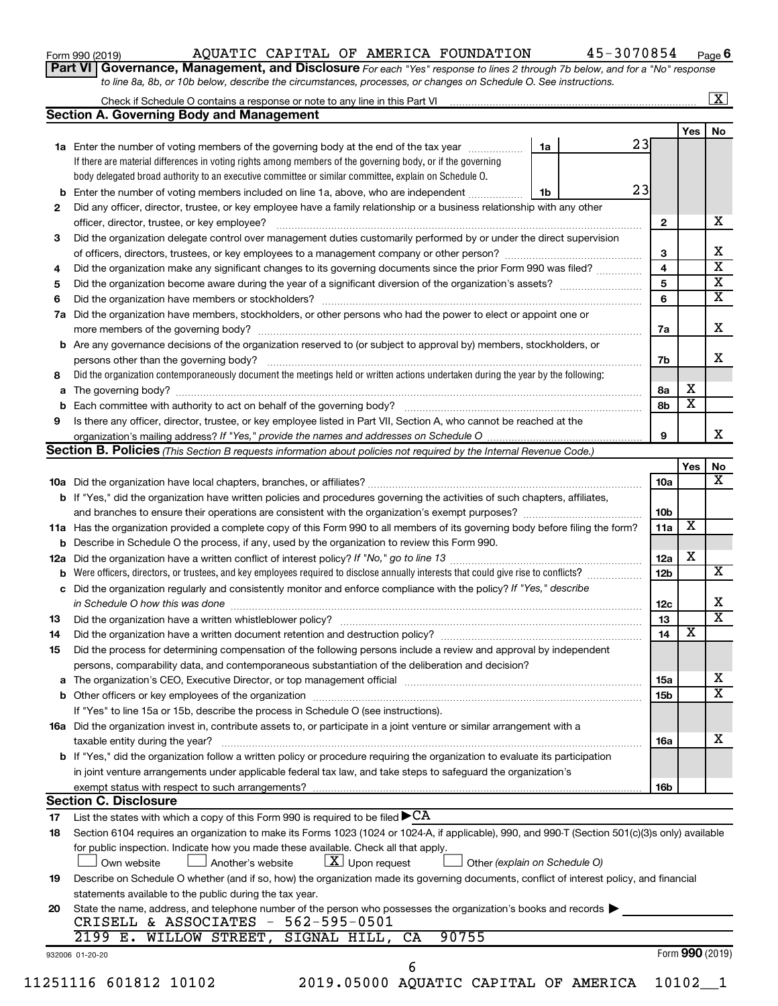| Form 990 (2019) |  |  |
|-----------------|--|--|
|-----------------|--|--|

Form 990 (2019) Page AQUATIC CAPITAL OF AMERICA FOUNDATION 45-3070854

**6**

**Part VI** Governance, Management, and Disclosure For each "Yes" response to lines 2 through 7b below, and for a "No" response *to line 8a, 8b, or 10b below, describe the circumstances, processes, or changes on Schedule O. See instructions.*

|     | Check if Schedule O contains a response or note to any line in this Part VI [1] [1] [1] [1] [1] [1] [1] [1] [1                                                                                                                |    |                 |                         | $\mathbf{X}$ |
|-----|-------------------------------------------------------------------------------------------------------------------------------------------------------------------------------------------------------------------------------|----|-----------------|-------------------------|--------------|
|     | <b>Section A. Governing Body and Management</b>                                                                                                                                                                               |    |                 |                         |              |
|     |                                                                                                                                                                                                                               |    |                 | Yes                     | No           |
|     | 1a Enter the number of voting members of the governing body at the end of the tax year                                                                                                                                        | 1a | 23              |                         |              |
|     | If there are material differences in voting rights among members of the governing body, or if the governing                                                                                                                   |    |                 |                         |              |
|     | body delegated broad authority to an executive committee or similar committee, explain on Schedule O.                                                                                                                         |    |                 |                         |              |
| b   | Enter the number of voting members included on line 1a, above, who are independent                                                                                                                                            | 1b | 23              |                         |              |
| 2   | Did any officer, director, trustee, or key employee have a family relationship or a business relationship with any other                                                                                                      |    |                 |                         |              |
|     | officer, director, trustee, or key employee?                                                                                                                                                                                  |    | $\mathbf{2}$    |                         |              |
| 3   | Did the organization delegate control over management duties customarily performed by or under the direct supervision                                                                                                         |    |                 |                         |              |
|     |                                                                                                                                                                                                                               |    | 3               |                         |              |
| 4   | Did the organization make any significant changes to its governing documents since the prior Form 990 was filed?                                                                                                              |    | 4               |                         |              |
| 5   |                                                                                                                                                                                                                               |    | 5               |                         |              |
| 6   |                                                                                                                                                                                                                               |    | 6               |                         |              |
| 7a  | Did the organization have members, stockholders, or other persons who had the power to elect or appoint one or                                                                                                                |    |                 |                         |              |
|     |                                                                                                                                                                                                                               |    | 7a              |                         |              |
|     |                                                                                                                                                                                                                               |    |                 |                         |              |
| b   | Are any governance decisions of the organization reserved to (or subject to approval by) members, stockholders, or                                                                                                            |    |                 |                         |              |
|     |                                                                                                                                                                                                                               |    | 7b              |                         |              |
| 8   | Did the organization contemporaneously document the meetings held or written actions undertaken during the year by the following:                                                                                             |    |                 |                         |              |
| а   |                                                                                                                                                                                                                               |    | 8а              | х                       |              |
| b   |                                                                                                                                                                                                                               |    | 8b              | $\overline{\textbf{x}}$ |              |
| 9   | Is there any officer, director, trustee, or key employee listed in Part VII, Section A, who cannot be reached at the                                                                                                          |    |                 |                         |              |
|     |                                                                                                                                                                                                                               |    | 9               |                         |              |
|     | <b>Section B. Policies</b> (This Section B requests information about policies not required by the Internal Revenue Code.)                                                                                                    |    |                 |                         |              |
|     |                                                                                                                                                                                                                               |    |                 | Yes                     |              |
|     |                                                                                                                                                                                                                               |    | 10a             |                         |              |
|     | <b>b</b> If "Yes," did the organization have written policies and procedures governing the activities of such chapters, affiliates,                                                                                           |    |                 |                         |              |
|     |                                                                                                                                                                                                                               |    | 10b             |                         |              |
|     | 11a Has the organization provided a complete copy of this Form 990 to all members of its governing body before filing the form?                                                                                               |    | 11a             | X                       |              |
|     | <b>b</b> Describe in Schedule O the process, if any, used by the organization to review this Form 990.                                                                                                                        |    |                 |                         |              |
| 12a |                                                                                                                                                                                                                               |    | 12a             | X                       |              |
| b   | Were officers, directors, or trustees, and key employees required to disclose annually interests that could give rise to conflicts?                                                                                           |    | 12 <sub>b</sub> |                         |              |
| с   | Did the organization regularly and consistently monitor and enforce compliance with the policy? If "Yes," describe                                                                                                            |    |                 |                         |              |
|     |                                                                                                                                                                                                                               |    | 12c             |                         |              |
| 13  |                                                                                                                                                                                                                               |    | 13              |                         |              |
|     | Did the organization have a written document retention and destruction policy? [11] manufaction manufaction in                                                                                                                |    | 14              | X                       |              |
| 14  |                                                                                                                                                                                                                               |    |                 |                         |              |
| 15  | Did the process for determining compensation of the following persons include a review and approval by independent                                                                                                            |    |                 |                         |              |
|     | persons, comparability data, and contemporaneous substantiation of the deliberation and decision?                                                                                                                             |    |                 |                         |              |
| а   | The organization's CEO, Executive Director, or top management official [111] [11] manument content of the organization's CEO, Executive Director, or top management official [11] manument content of the organization of the |    | 15a             |                         |              |
|     |                                                                                                                                                                                                                               |    | 15b             |                         |              |
|     | If "Yes" to line 15a or 15b, describe the process in Schedule O (see instructions).                                                                                                                                           |    |                 |                         |              |
|     | 16a Did the organization invest in, contribute assets to, or participate in a joint venture or similar arrangement with a                                                                                                     |    |                 |                         |              |
|     | taxable entity during the year?                                                                                                                                                                                               |    | 16a             |                         |              |
|     | b If "Yes," did the organization follow a written policy or procedure requiring the organization to evaluate its participation                                                                                                |    |                 |                         |              |
|     | in joint venture arrangements under applicable federal tax law, and take steps to safeguard the organization's                                                                                                                |    |                 |                         |              |
|     | exempt status with respect to such arrangements?                                                                                                                                                                              |    | 16b             |                         |              |
|     | <b>Section C. Disclosure</b>                                                                                                                                                                                                  |    |                 |                         |              |
| 17  | List the states with which a copy of this Form 990 is required to be filed $\blacktriangleright$ CA                                                                                                                           |    |                 |                         |              |
| 18  | Section 6104 requires an organization to make its Forms 1023 (1024 or 1024-A, if applicable), 990, and 990-T (Section 501(c)(3)s only) available                                                                              |    |                 |                         |              |
|     | for public inspection. Indicate how you made these available. Check all that apply.                                                                                                                                           |    |                 |                         |              |
|     | $\lfloor x \rfloor$ Upon request<br>Other (explain on Schedule O)<br>Another's website<br>Own website                                                                                                                         |    |                 |                         |              |
| 19  | Describe on Schedule O whether (and if so, how) the organization made its governing documents, conflict of interest policy, and financial                                                                                     |    |                 |                         |              |
|     | statements available to the public during the tax year.                                                                                                                                                                       |    |                 |                         |              |
|     | State the name, address, and telephone number of the person who possesses the organization's books and records                                                                                                                |    |                 |                         |              |
| 20  | CRISELL & ASSOCIATES - 562-595-0501                                                                                                                                                                                           |    |                 |                         |              |
|     | 2199 E. WILLOW STREET,<br>90755<br>SIGNAL HILL,<br>CA                                                                                                                                                                         |    |                 |                         |              |
|     |                                                                                                                                                                                                                               |    |                 |                         |              |
|     | 932006 01-20-20                                                                                                                                                                                                               |    |                 | Form 990 (2019)         |              |
|     | 6                                                                                                                                                                                                                             |    |                 |                         |              |
|     | 11251116 601812 10102<br>2019.05000 AQUATIC CAPITAL OF AMERICA                                                                                                                                                                |    |                 | $10102 - 1$             |              |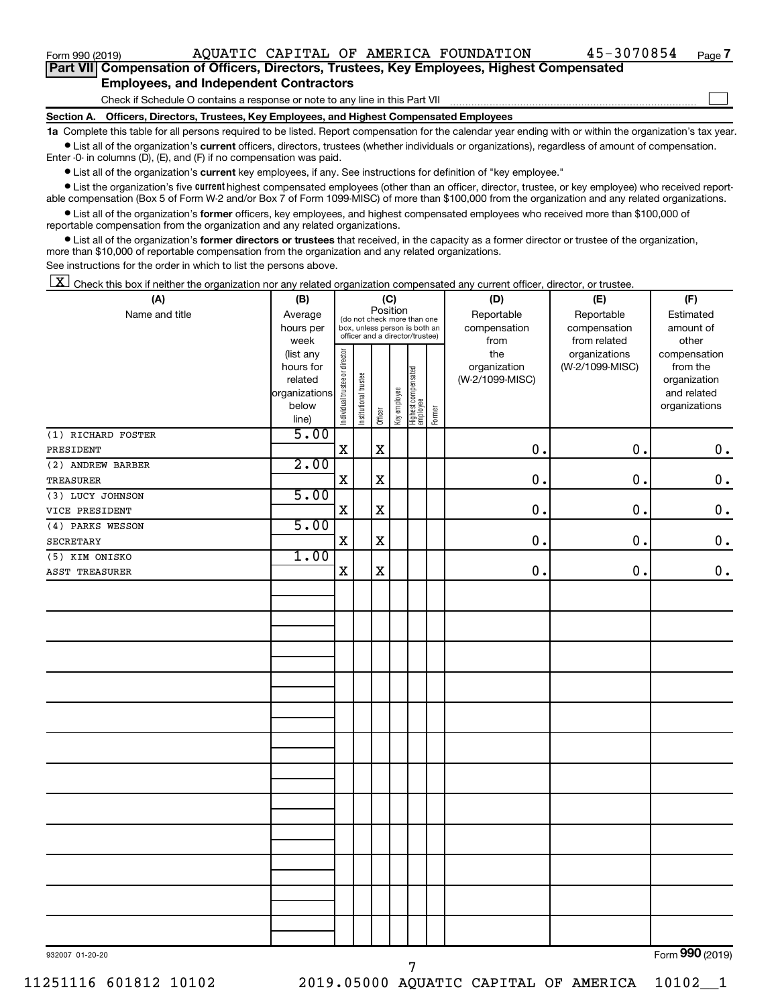$\Box$ 

|  | Part VII Compensation of Officers, Directors, Trustees, Key Employees, Highest Compensated |  |  |  |
|--|--------------------------------------------------------------------------------------------|--|--|--|
|  | <b>Employees, and Independent Contractors</b>                                              |  |  |  |

Check if Schedule O contains a response or note to any line in this Part VII

**Section A. Officers, Directors, Trustees, Key Employees, and Highest Compensated Employees**

**1a**  Complete this table for all persons required to be listed. Report compensation for the calendar year ending with or within the organization's tax year.  $\bullet$  List all of the organization's current officers, directors, trustees (whether individuals or organizations), regardless of amount of compensation.

Enter -0- in columns (D), (E), and (F) if no compensation was paid.

**•** List all of the organization's current key employees, if any. See instructions for definition of "key employee."

• List the organization's five *current* highest compensated employees (other than an officer, director, trustee, or key employee) who received reportable compensation (Box 5 of Form W-2 and/or Box 7 of Form 1099-MISC) of more than \$100,000 from the organization and any related organizations.

 $\bullet$  List all of the organization's former officers, key employees, and highest compensated employees who received more than \$100,000 of reportable compensation from the organization and any related organizations.

**•** List all of the organization's former directors or trustees that received, in the capacity as a former director or trustee of the organization, more than \$10,000 of reportable compensation from the organization and any related organizations.

See instructions for the order in which to list the persons above.

 $\boxed{\textbf{X}}$  Check this box if neither the organization nor any related organization compensated any current officer, director, or trustee.

| (A)                | (B)                      |                                |                                                                  |             | (C)          |                                   |        | (D)             | (E)             | (F)                         |
|--------------------|--------------------------|--------------------------------|------------------------------------------------------------------|-------------|--------------|-----------------------------------|--------|-----------------|-----------------|-----------------------------|
| Name and title     | Average                  |                                | (do not check more than one                                      | Position    |              |                                   |        | Reportable      | Reportable      | Estimated                   |
|                    | hours per                |                                | box, unless person is both an<br>officer and a director/trustee) |             |              |                                   |        | compensation    | compensation    | amount of                   |
|                    | week                     |                                |                                                                  |             |              |                                   |        | from            | from related    | other                       |
|                    | (list any                |                                |                                                                  |             |              |                                   |        | the             | organizations   | compensation                |
|                    | hours for                |                                |                                                                  |             |              |                                   |        | organization    | (W-2/1099-MISC) | from the                    |
|                    | related<br>organizations |                                |                                                                  |             |              |                                   |        | (W-2/1099-MISC) |                 | organization<br>and related |
|                    | below                    |                                |                                                                  |             |              |                                   |        |                 |                 | organizations               |
|                    | line)                    | Individual trustee or director | Institutional trustee                                            | Officer     | Key employee | Highest compensated<br>  employee | Former |                 |                 |                             |
| (1) RICHARD FOSTER | 5.00                     |                                |                                                                  |             |              |                                   |        |                 |                 |                             |
| PRESIDENT          |                          | $\rm X$                        |                                                                  | $\mathbf X$ |              |                                   |        | $\mathbf 0$ .   | $\mathbf 0$ .   | $\mathbf 0$ .               |
| (2) ANDREW BARBER  | 2.00                     |                                |                                                                  |             |              |                                   |        |                 |                 |                             |
| TREASURER          |                          | $\mathbf X$                    |                                                                  | $\mathbf X$ |              |                                   |        | 0.              | 0.              | $\mathbf 0$ .               |
| (3) LUCY JOHNSON   | 5.00                     |                                |                                                                  |             |              |                                   |        |                 |                 |                             |
| VICE PRESIDENT     |                          | $\mathbf X$                    |                                                                  | $\mathbf X$ |              |                                   |        | $\mathbf 0$ .   | $\mathbf 0$ .   | $\mathbf 0$ .               |
| (4) PARKS WESSON   | 5.00                     |                                |                                                                  |             |              |                                   |        |                 |                 |                             |
| <b>SECRETARY</b>   |                          | $\mathbf X$                    |                                                                  | $\mathbf X$ |              |                                   |        | 0.              | 0.              | $\mathbf 0$ .               |
| (5) KIM ONISKO     | 1.00                     |                                |                                                                  |             |              |                                   |        |                 |                 |                             |
| ASST TREASURER     |                          | $\mathbf X$                    |                                                                  | $\mathbf X$ |              |                                   |        | $\mathbf 0$     | 0.              | $\mathbf 0$ .               |
|                    |                          |                                |                                                                  |             |              |                                   |        |                 |                 |                             |
|                    |                          |                                |                                                                  |             |              |                                   |        |                 |                 |                             |
|                    |                          |                                |                                                                  |             |              |                                   |        |                 |                 |                             |
|                    |                          |                                |                                                                  |             |              |                                   |        |                 |                 |                             |
|                    |                          |                                |                                                                  |             |              |                                   |        |                 |                 |                             |
|                    |                          |                                |                                                                  |             |              |                                   |        |                 |                 |                             |
|                    |                          |                                |                                                                  |             |              |                                   |        |                 |                 |                             |
|                    |                          |                                |                                                                  |             |              |                                   |        |                 |                 |                             |
|                    |                          |                                |                                                                  |             |              |                                   |        |                 |                 |                             |
|                    |                          |                                |                                                                  |             |              |                                   |        |                 |                 |                             |
|                    |                          |                                |                                                                  |             |              |                                   |        |                 |                 |                             |
|                    |                          |                                |                                                                  |             |              |                                   |        |                 |                 |                             |
|                    |                          |                                |                                                                  |             |              |                                   |        |                 |                 |                             |
|                    |                          |                                |                                                                  |             |              |                                   |        |                 |                 |                             |
|                    |                          |                                |                                                                  |             |              |                                   |        |                 |                 |                             |
|                    |                          |                                |                                                                  |             |              |                                   |        |                 |                 |                             |
|                    |                          |                                |                                                                  |             |              |                                   |        |                 |                 |                             |
|                    |                          |                                |                                                                  |             |              |                                   |        |                 |                 |                             |
|                    |                          |                                |                                                                  |             |              |                                   |        |                 |                 |                             |
|                    |                          |                                |                                                                  |             |              |                                   |        |                 |                 |                             |
|                    |                          |                                |                                                                  |             |              |                                   |        |                 |                 |                             |
|                    |                          |                                |                                                                  |             |              |                                   |        |                 |                 |                             |
|                    |                          |                                |                                                                  |             |              |                                   |        |                 |                 |                             |
|                    |                          |                                |                                                                  |             |              |                                   |        |                 |                 | $000 \approx 1$             |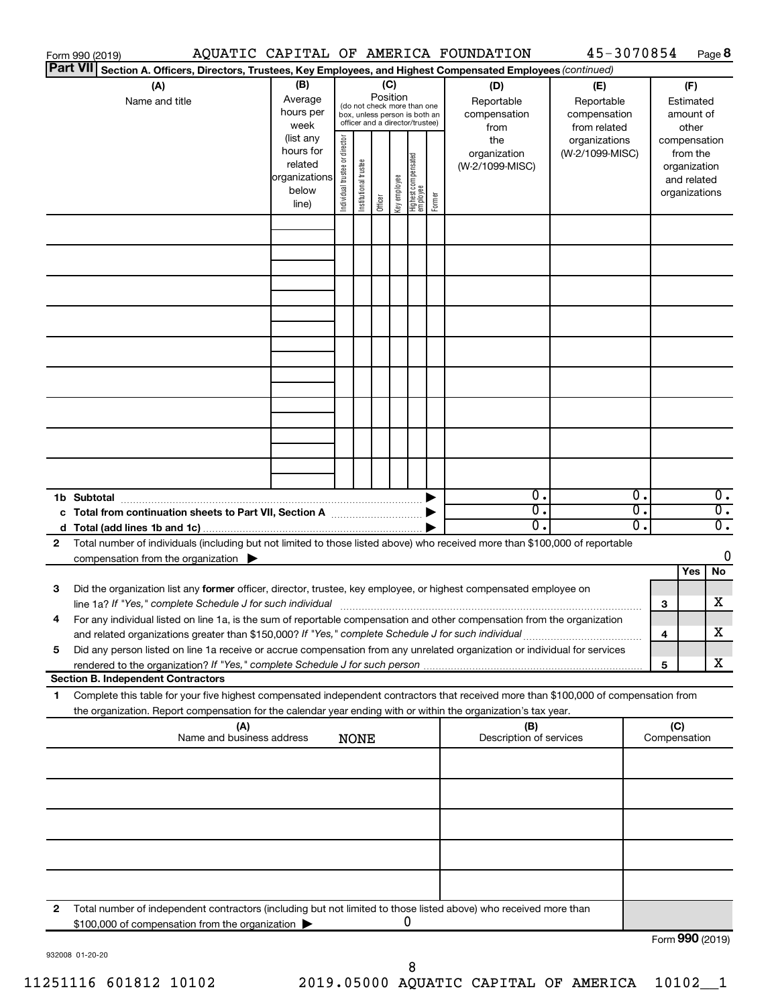|                 | Form 990 (2019)                                                                                                                                                                                                                                        |                                  |                                                                       |                                |                       |                 |              |                                                                                                 |        | AQUATIC CAPITAL OF AMERICA FOUNDATION                                                                  | 45-3070854                                        |                        |                     |                                                                          | Page 8                 |
|-----------------|--------------------------------------------------------------------------------------------------------------------------------------------------------------------------------------------------------------------------------------------------------|----------------------------------|-----------------------------------------------------------------------|--------------------------------|-----------------------|-----------------|--------------|-------------------------------------------------------------------------------------------------|--------|--------------------------------------------------------------------------------------------------------|---------------------------------------------------|------------------------|---------------------|--------------------------------------------------------------------------|------------------------|
| <b>Part VII</b> |                                                                                                                                                                                                                                                        |                                  |                                                                       |                                |                       |                 |              |                                                                                                 |        | Section A. Officers, Directors, Trustees, Key Employees, and Highest Compensated Employees (continued) |                                                   |                        |                     |                                                                          |                        |
|                 | (A)<br>Name and title                                                                                                                                                                                                                                  |                                  | (B)<br>Average<br>hours per<br>week                                   |                                |                       | (C)<br>Position |              | (do not check more than one<br>box, unless person is both an<br>officer and a director/trustee) |        | (D)<br>Reportable<br>compensation<br>from                                                              | (E)<br>Reportable<br>compensation<br>from related |                        |                     | (F)<br>Estimated<br>amount of<br>other                                   |                        |
|                 |                                                                                                                                                                                                                                                        |                                  | (list any<br>hours for<br>related<br> organizations<br>below<br>line) | Individual trustee or director | Institutional trustee | Officer         | Key employee | Highest compensated<br>  employee                                                               | Former | the<br>organization<br>(W-2/1099-MISC)                                                                 | organizations<br>(W-2/1099-MISC)                  |                        |                     | compensation<br>from the<br>organization<br>and related<br>organizations |                        |
|                 |                                                                                                                                                                                                                                                        |                                  |                                                                       |                                |                       |                 |              |                                                                                                 |        |                                                                                                        |                                                   |                        |                     |                                                                          |                        |
|                 |                                                                                                                                                                                                                                                        |                                  |                                                                       |                                |                       |                 |              |                                                                                                 |        |                                                                                                        |                                                   |                        |                     |                                                                          |                        |
|                 |                                                                                                                                                                                                                                                        |                                  |                                                                       |                                |                       |                 |              |                                                                                                 |        |                                                                                                        |                                                   |                        |                     |                                                                          |                        |
|                 |                                                                                                                                                                                                                                                        |                                  |                                                                       |                                |                       |                 |              |                                                                                                 |        |                                                                                                        |                                                   |                        |                     |                                                                          |                        |
|                 |                                                                                                                                                                                                                                                        |                                  |                                                                       |                                |                       |                 |              |                                                                                                 |        |                                                                                                        |                                                   |                        |                     |                                                                          |                        |
|                 |                                                                                                                                                                                                                                                        |                                  |                                                                       |                                |                       |                 |              |                                                                                                 |        |                                                                                                        |                                                   |                        |                     |                                                                          |                        |
|                 |                                                                                                                                                                                                                                                        |                                  |                                                                       |                                |                       |                 |              |                                                                                                 |        |                                                                                                        |                                                   |                        |                     |                                                                          |                        |
|                 | 1b Subtotal                                                                                                                                                                                                                                            |                                  |                                                                       |                                |                       |                 |              |                                                                                                 |        | 0.                                                                                                     |                                                   | О.                     |                     |                                                                          | $0$ .                  |
|                 |                                                                                                                                                                                                                                                        |                                  |                                                                       |                                |                       |                 |              |                                                                                                 |        | $\overline{\mathbf{0}}$ .<br>0                                                                         |                                                   | σ.<br>$\overline{0}$ . |                     |                                                                          | $\overline{0}$ .<br>σ. |
| 2               | Total number of individuals (including but not limited to those listed above) who received more than \$100,000 of reportable<br>compensation from the organization                                                                                     |                                  |                                                                       |                                |                       |                 |              |                                                                                                 |        |                                                                                                        |                                                   |                        |                     |                                                                          | 0                      |
| 3               | Did the organization list any former officer, director, trustee, key employee, or highest compensated employee on                                                                                                                                      |                                  |                                                                       |                                |                       |                 |              |                                                                                                 |        |                                                                                                        |                                                   |                        |                     | Yes                                                                      | <b>No</b>              |
|                 | For any individual listed on line 1a, is the sum of reportable compensation and other compensation from the organization<br>and related organizations greater than \$150,000? If "Yes," complete Schedule J for such individual                        |                                  |                                                                       |                                |                       |                 |              |                                                                                                 |        |                                                                                                        |                                                   |                        | 3                   |                                                                          | х<br>х                 |
| 5               | Did any person listed on line 1a receive or accrue compensation from any unrelated organization or individual for services<br>rendered to the organization? If "Yes," complete Schedule J for such person                                              |                                  |                                                                       |                                |                       |                 |              |                                                                                                 |        |                                                                                                        |                                                   |                        | 4<br>5              |                                                                          | x                      |
|                 | <b>Section B. Independent Contractors</b>                                                                                                                                                                                                              |                                  |                                                                       |                                |                       |                 |              |                                                                                                 |        |                                                                                                        |                                                   |                        |                     |                                                                          |                        |
| 1               | Complete this table for your five highest compensated independent contractors that received more than \$100,000 of compensation from<br>the organization. Report compensation for the calendar year ending with or within the organization's tax year. |                                  |                                                                       |                                |                       |                 |              |                                                                                                 |        |                                                                                                        |                                                   |                        |                     |                                                                          |                        |
|                 |                                                                                                                                                                                                                                                        | (A)<br>Name and business address |                                                                       |                                | <b>NONE</b>           |                 |              |                                                                                                 |        | (B)<br>Description of services                                                                         |                                                   |                        | (C)<br>Compensation |                                                                          |                        |
|                 |                                                                                                                                                                                                                                                        |                                  |                                                                       |                                |                       |                 |              |                                                                                                 |        |                                                                                                        |                                                   |                        |                     |                                                                          |                        |
|                 |                                                                                                                                                                                                                                                        |                                  |                                                                       |                                |                       |                 |              |                                                                                                 |        |                                                                                                        |                                                   |                        |                     |                                                                          |                        |
|                 |                                                                                                                                                                                                                                                        |                                  |                                                                       |                                |                       |                 |              |                                                                                                 |        |                                                                                                        |                                                   |                        |                     |                                                                          |                        |
|                 |                                                                                                                                                                                                                                                        |                                  |                                                                       |                                |                       |                 |              |                                                                                                 |        |                                                                                                        |                                                   |                        |                     |                                                                          |                        |
| 2               | Total number of independent contractors (including but not limited to those listed above) who received more than<br>\$100,000 of compensation from the organization                                                                                    |                                  |                                                                       |                                |                       |                 |              | 0                                                                                               |        |                                                                                                        |                                                   |                        |                     |                                                                          |                        |
|                 |                                                                                                                                                                                                                                                        |                                  |                                                                       |                                |                       |                 |              |                                                                                                 |        |                                                                                                        |                                                   |                        | Form 990 (2019)     |                                                                          |                        |

932008 01-20-20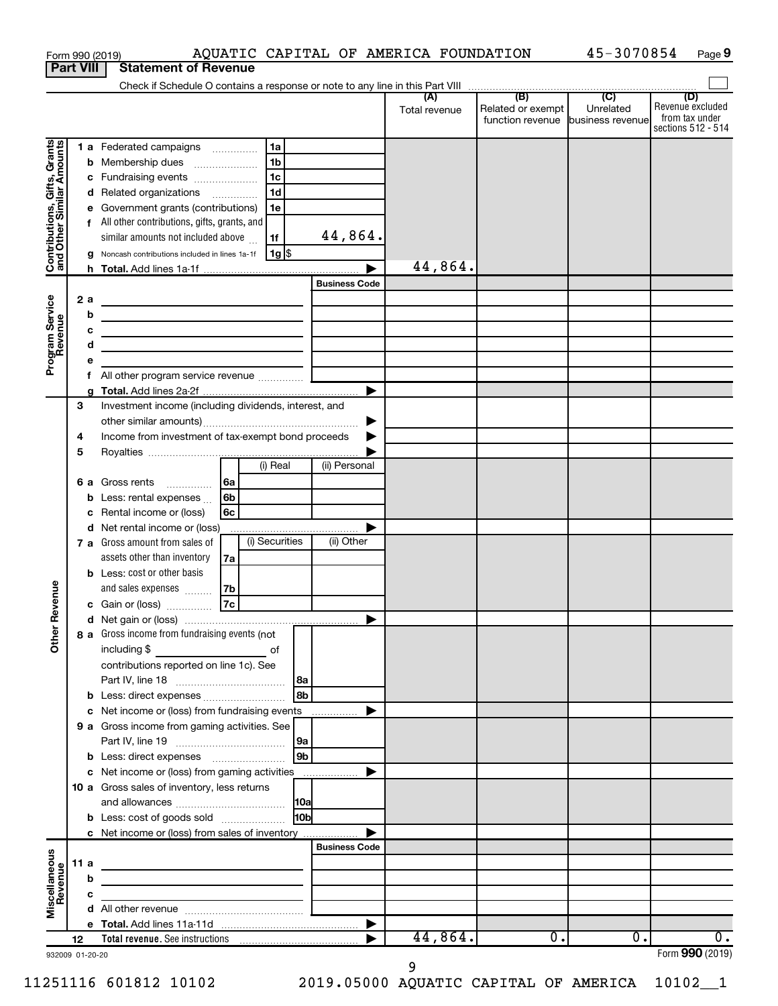|                                                           |      |    | Form 990 (2019)                                                                                                       |    |                |            |                      | AQUATIC CAPITAL OF AMERICA FOUNDATION |                   | 45-3070854       | Page 9                               |
|-----------------------------------------------------------|------|----|-----------------------------------------------------------------------------------------------------------------------|----|----------------|------------|----------------------|---------------------------------------|-------------------|------------------|--------------------------------------|
| <b>Part VIII</b>                                          |      |    | <b>Statement of Revenue</b>                                                                                           |    |                |            |                      |                                       |                   |                  |                                      |
|                                                           |      |    |                                                                                                                       |    |                |            |                      | (A)                                   | (B)               | $\overline{C}$   | (D)                                  |
|                                                           |      |    |                                                                                                                       |    |                |            |                      | Total revenue                         | Related or exempt | Unrelated        | Revenue excluded                     |
|                                                           |      |    |                                                                                                                       |    |                |            |                      |                                       | function revenue  | business revenue | from tax under<br>sections 512 - 514 |
|                                                           |      |    | 1 a Federated campaigns                                                                                               |    | 1a             |            |                      |                                       |                   |                  |                                      |
|                                                           |      |    | <b>b</b> Membership dues                                                                                              |    | 1 <sub>b</sub> |            |                      |                                       |                   |                  |                                      |
|                                                           |      |    | c Fundraising events                                                                                                  |    | 1c             |            |                      |                                       |                   |                  |                                      |
| Contributions, Gifts, Grants<br>and Other Similar Amounts |      |    | d Related organizations                                                                                               |    | 1d             |            |                      |                                       |                   |                  |                                      |
|                                                           |      |    | e Government grants (contributions)                                                                                   |    | 1e             |            |                      |                                       |                   |                  |                                      |
|                                                           |      |    | f All other contributions, gifts, grants, and                                                                         |    |                |            |                      |                                       |                   |                  |                                      |
|                                                           |      |    | similar amounts not included above                                                                                    |    | 1f             |            | 44,864.              |                                       |                   |                  |                                      |
|                                                           |      |    | g Noncash contributions included in lines 1a-1f                                                                       |    | $1g$ \$        |            |                      |                                       |                   |                  |                                      |
|                                                           |      |    |                                                                                                                       |    |                |            |                      | 44,864.                               |                   |                  |                                      |
|                                                           |      |    |                                                                                                                       |    |                |            | <b>Business Code</b> |                                       |                   |                  |                                      |
|                                                           |      | 2a | the contract of the contract of the contract of the contract of the                                                   |    |                |            |                      |                                       |                   |                  |                                      |
|                                                           |      | b  | <u> 1980 - Johann John Stein, mars an deus Amerikaansk kommunister (</u>                                              |    |                |            |                      |                                       |                   |                  |                                      |
|                                                           |      | с  | <u> 1980 - Johann John Stein, markin fizik eta idazlearia (h. 1980).</u>                                              |    |                |            |                      |                                       |                   |                  |                                      |
|                                                           |      | d  | <u> 1980 - Johann Barn, mars an t-Amerikaansk politiker (</u>                                                         |    |                |            |                      |                                       |                   |                  |                                      |
| Program Service<br>Revenue                                |      | е  |                                                                                                                       |    |                |            |                      |                                       |                   |                  |                                      |
|                                                           |      | f  |                                                                                                                       |    |                |            |                      |                                       |                   |                  |                                      |
|                                                           | 3    | a  | Investment income (including dividends, interest, and                                                                 |    |                |            |                      |                                       |                   |                  |                                      |
|                                                           |      |    |                                                                                                                       |    |                |            | ▶                    |                                       |                   |                  |                                      |
|                                                           | 4    |    | Income from investment of tax-exempt bond proceeds                                                                    |    |                |            |                      |                                       |                   |                  |                                      |
|                                                           | 5    |    |                                                                                                                       |    |                |            |                      |                                       |                   |                  |                                      |
|                                                           |      |    |                                                                                                                       |    | $(i)$ Real     |            | (ii) Personal        |                                       |                   |                  |                                      |
|                                                           |      |    | 6 a Gross rents                                                                                                       | 6a |                |            |                      |                                       |                   |                  |                                      |
|                                                           |      |    | <b>b</b> Less: rental expenses $\ldots$                                                                               | 6b |                |            |                      |                                       |                   |                  |                                      |
|                                                           |      | c  | Rental income or (loss)                                                                                               | 6c |                |            |                      |                                       |                   |                  |                                      |
|                                                           |      |    | d Net rental income or (loss)                                                                                         |    |                |            |                      |                                       |                   |                  |                                      |
|                                                           |      |    | 7 a Gross amount from sales of                                                                                        |    | (i) Securities |            | (ii) Other           |                                       |                   |                  |                                      |
|                                                           |      |    | assets other than inventory                                                                                           | 7a |                |            |                      |                                       |                   |                  |                                      |
|                                                           |      |    | <b>b</b> Less: cost or other basis                                                                                    |    |                |            |                      |                                       |                   |                  |                                      |
| venue                                                     |      |    | and sales expenses                                                                                                    | 7b |                |            |                      |                                       |                   |                  |                                      |
|                                                           |      |    | c Gain or (loss)                                                                                                      | 7c |                |            |                      |                                       |                   |                  |                                      |
| Œ                                                         |      |    |                                                                                                                       |    |                |            |                      |                                       |                   |                  |                                      |
| Other                                                     |      |    | 8 a Gross income from fundraising events (not                                                                         |    |                |            |                      |                                       |                   |                  |                                      |
|                                                           |      |    |                                                                                                                       |    |                |            |                      |                                       |                   |                  |                                      |
|                                                           |      |    | contributions reported on line 1c). See                                                                               |    |                |            |                      |                                       |                   |                  |                                      |
|                                                           |      |    |                                                                                                                       |    |                |            |                      |                                       |                   |                  |                                      |
|                                                           |      |    | b Less: direct expenses<br>c Net income or (loss) from fundraising events                                             |    |                | l 8b       |                      |                                       |                   |                  |                                      |
|                                                           |      |    | 9 a Gross income from gaming activities. See                                                                          |    |                |            |                      |                                       |                   |                  |                                      |
|                                                           |      |    |                                                                                                                       |    |                | 9a         |                      |                                       |                   |                  |                                      |
|                                                           |      |    |                                                                                                                       |    |                | l 9b       |                      |                                       |                   |                  |                                      |
|                                                           |      |    | c Net income or (loss) from gaming activities                                                                         |    |                |            |                      |                                       |                   |                  |                                      |
|                                                           |      |    | 10 a Gross sales of inventory, less returns                                                                           |    |                |            |                      |                                       |                   |                  |                                      |
|                                                           |      |    |                                                                                                                       |    |                | <b>10a</b> |                      |                                       |                   |                  |                                      |
|                                                           |      |    | <b>b</b> Less: cost of goods sold                                                                                     |    |                | l10bl      |                      |                                       |                   |                  |                                      |
|                                                           |      |    | c Net income or (loss) from sales of inventory                                                                        |    |                |            |                      |                                       |                   |                  |                                      |
|                                                           |      |    |                                                                                                                       |    |                |            | <b>Business Code</b> |                                       |                   |                  |                                      |
| Miscellaneous<br>Revenue                                  | 11 a |    | the control of the control of the control of the control of the control of                                            |    |                |            |                      |                                       |                   |                  |                                      |
|                                                           |      | b  | <u> 1989 - Johann Barbara, martin amerikan ba</u>                                                                     |    |                |            |                      |                                       |                   |                  |                                      |
|                                                           |      | с  | <u> 1989 - John Harry Harry Harry Harry Harry Harry Harry Harry Harry Harry Harry Harry Harry Harry Harry Harry H</u> |    |                |            |                      |                                       |                   |                  |                                      |
|                                                           |      |    |                                                                                                                       |    |                |            |                      |                                       |                   |                  |                                      |
|                                                           |      |    |                                                                                                                       |    |                |            | ▶                    |                                       |                   |                  |                                      |
|                                                           | 12   |    |                                                                                                                       |    |                |            |                      | 44,864.                               | $\overline{0}$ .  | 0.               | 0.<br>Form 990 (2019)                |
| 932009 01-20-20                                           |      |    |                                                                                                                       |    |                |            |                      |                                       |                   |                  |                                      |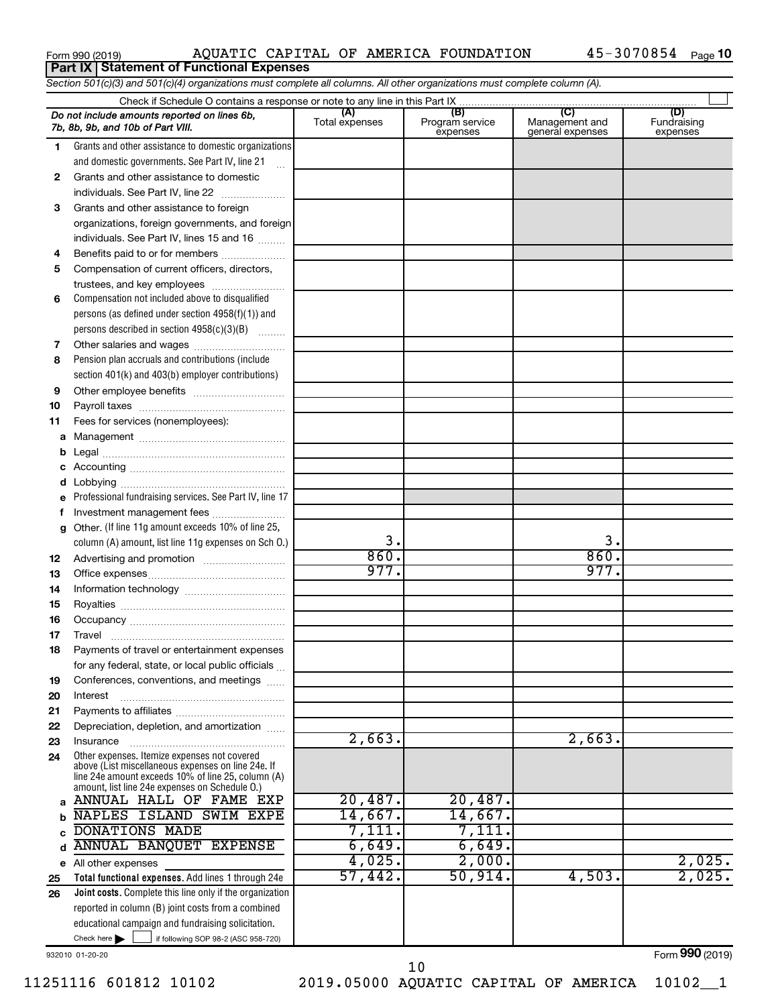|  | Form 990 (2019) |  |
|--|-----------------|--|
|  |                 |  |

## Form 990 (2019) Page AQUATIC CAPITAL OF AMERICA FOUNDATION 45-3070854 **Part IX Statement of Functional Expenses**

|    | Section 501(c)(3) and 501(c)(4) organizations must complete all columns. All other organizations must complete column (A).                                                                                 |                |                             |                                    |                         |
|----|------------------------------------------------------------------------------------------------------------------------------------------------------------------------------------------------------------|----------------|-----------------------------|------------------------------------|-------------------------|
|    |                                                                                                                                                                                                            | (A)            | (B)                         | (C)                                | (D)                     |
|    | Do not include amounts reported on lines 6b,<br>7b, 8b, 9b, and 10b of Part VIII.                                                                                                                          | Total expenses | Program service<br>expenses | Management and<br>general expenses | Fundraising<br>expenses |
| 1. | Grants and other assistance to domestic organizations                                                                                                                                                      |                |                             |                                    |                         |
|    | and domestic governments. See Part IV, line 21                                                                                                                                                             |                |                             |                                    |                         |
| 2  | Grants and other assistance to domestic                                                                                                                                                                    |                |                             |                                    |                         |
|    | individuals. See Part IV, line 22                                                                                                                                                                          |                |                             |                                    |                         |
| 3  | Grants and other assistance to foreign                                                                                                                                                                     |                |                             |                                    |                         |
|    | organizations, foreign governments, and foreign                                                                                                                                                            |                |                             |                                    |                         |
|    | individuals. See Part IV, lines 15 and 16                                                                                                                                                                  |                |                             |                                    |                         |
| 4  | Benefits paid to or for members                                                                                                                                                                            |                |                             |                                    |                         |
| 5  | Compensation of current officers, directors,                                                                                                                                                               |                |                             |                                    |                         |
|    |                                                                                                                                                                                                            |                |                             |                                    |                         |
| 6  | Compensation not included above to disqualified                                                                                                                                                            |                |                             |                                    |                         |
|    | persons (as defined under section $4958(f)(1)$ ) and                                                                                                                                                       |                |                             |                                    |                         |
|    | persons described in section 4958(c)(3)(B)                                                                                                                                                                 |                |                             |                                    |                         |
| 7  |                                                                                                                                                                                                            |                |                             |                                    |                         |
| 8  | Pension plan accruals and contributions (include                                                                                                                                                           |                |                             |                                    |                         |
|    | section 401(k) and 403(b) employer contributions)                                                                                                                                                          |                |                             |                                    |                         |
| 9  |                                                                                                                                                                                                            |                |                             |                                    |                         |
| 10 |                                                                                                                                                                                                            |                |                             |                                    |                         |
| 11 | Fees for services (nonemployees):                                                                                                                                                                          |                |                             |                                    |                         |
| а  |                                                                                                                                                                                                            |                |                             |                                    |                         |
| b  |                                                                                                                                                                                                            |                |                             |                                    |                         |
| с  |                                                                                                                                                                                                            |                |                             |                                    |                         |
| d  |                                                                                                                                                                                                            |                |                             |                                    |                         |
|    | Professional fundraising services. See Part IV, line 17                                                                                                                                                    |                |                             |                                    |                         |
| f  | Investment management fees                                                                                                                                                                                 |                |                             |                                    |                         |
| g  | Other. (If line 11g amount exceeds 10% of line 25,                                                                                                                                                         |                |                             |                                    |                         |
|    | column (A) amount, list line 11g expenses on Sch 0.)                                                                                                                                                       | 3.             |                             | 3.                                 |                         |
| 12 |                                                                                                                                                                                                            | 860.           |                             | 860.                               |                         |
| 13 |                                                                                                                                                                                                            | 977.           |                             | 977.                               |                         |
| 14 |                                                                                                                                                                                                            |                |                             |                                    |                         |
| 15 |                                                                                                                                                                                                            |                |                             |                                    |                         |
| 16 |                                                                                                                                                                                                            |                |                             |                                    |                         |
| 17 |                                                                                                                                                                                                            |                |                             |                                    |                         |
|    | Payments of travel or entertainment expenses                                                                                                                                                               |                |                             |                                    |                         |
|    | for any federal, state, or local public officials                                                                                                                                                          |                |                             |                                    |                         |
| 19 | Conferences, conventions, and meetings                                                                                                                                                                     |                |                             |                                    |                         |
| 20 | Interest                                                                                                                                                                                                   |                |                             |                                    |                         |
| 21 |                                                                                                                                                                                                            |                |                             |                                    |                         |
| 22 | Depreciation, depletion, and amortization                                                                                                                                                                  |                |                             |                                    |                         |
| 23 | Insurance                                                                                                                                                                                                  | 2,663.         |                             | 2,663.                             |                         |
| 24 | Other expenses. Itemize expenses not covered<br>above (List miscellaneous expenses on line 24e. If<br>line 24e amount exceeds 10% of line 25, column (A)<br>amount, list line 24e expenses on Schedule O.) |                |                             |                                    |                         |
|    | a ANNUAL HALL OF FAME EXP                                                                                                                                                                                  | 20,487.        | 20,487.                     |                                    |                         |
| b  | NAPLES ISLAND SWIM EXPE                                                                                                                                                                                    | 14,667.        | 14,667.                     |                                    |                         |
|    | DONATIONS MADE                                                                                                                                                                                             | 7,111.         | 7,111.                      |                                    |                         |
| d  | ANNUAL BANQUET EXPENSE                                                                                                                                                                                     | 6,649.         | 6,649.                      |                                    |                         |
|    | e All other expenses                                                                                                                                                                                       | 4,025.         | 2,000.                      |                                    | 2,025.                  |
| 25 | Total functional expenses. Add lines 1 through 24e                                                                                                                                                         | 57,442.        | 50,914.                     | 4,503.                             | 2,025.                  |
| 26 | <b>Joint costs.</b> Complete this line only if the organization                                                                                                                                            |                |                             |                                    |                         |
|    | reported in column (B) joint costs from a combined                                                                                                                                                         |                |                             |                                    |                         |
|    | educational campaign and fundraising solicitation.                                                                                                                                                         |                |                             |                                    |                         |
|    | Check here $\blacktriangleright$<br>if following SOP 98-2 (ASC 958-720)                                                                                                                                    |                |                             |                                    |                         |

932010 01-20-20

Form (2019) **990**

11251116 601812 10102 2019.05000 AQUATIC CAPITAL OF AMERICA 10102\_\_1 10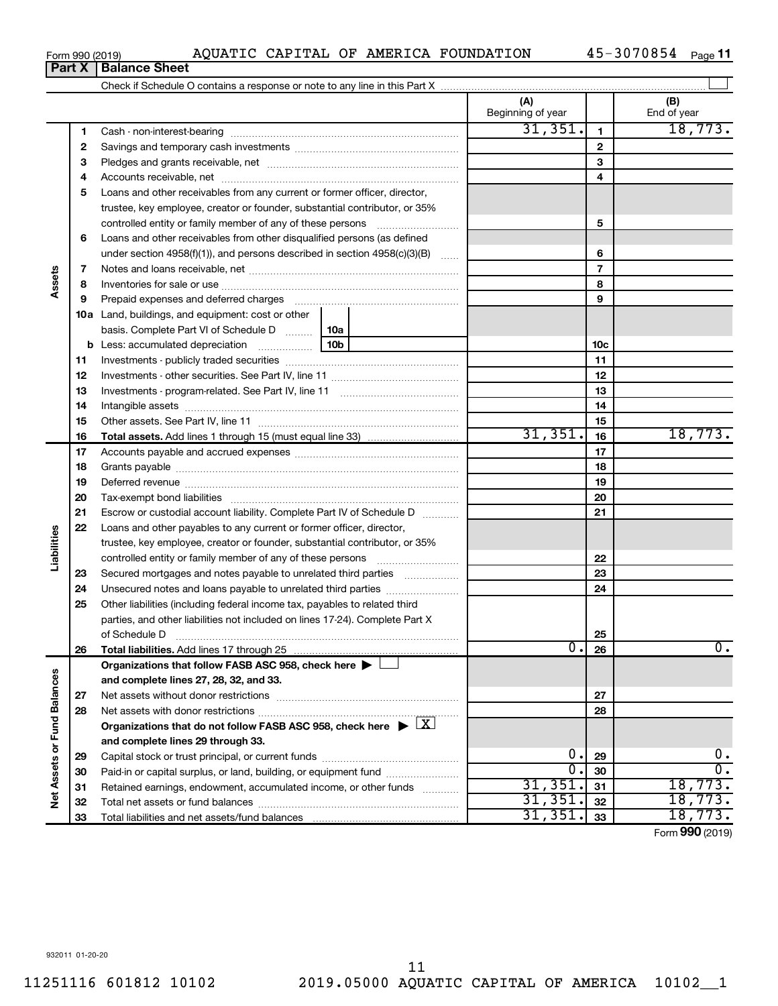| Form 990 (2019) |                                                                            |  |  | AQUATIC CAPITAL OF AMERICA FOUNDATION | 45-3070854 | Page 11 |  |
|-----------------|----------------------------------------------------------------------------|--|--|---------------------------------------|------------|---------|--|
|                 | <b>Part X   Balance Sheet</b>                                              |  |  |                                       |            |         |  |
|                 | Check if Schedule O contains a response or note to any line in this Part X |  |  |                                       |            |         |  |

|                             | ганл | <b>DalaHVG OHGGL</b>                                                                         |                          |                |                    |
|-----------------------------|------|----------------------------------------------------------------------------------------------|--------------------------|----------------|--------------------|
|                             |      |                                                                                              |                          |                |                    |
|                             |      |                                                                                              | (A)<br>Beginning of year |                | (B)<br>End of year |
|                             | 1    |                                                                                              | 31, 351.                 | $\mathbf{1}$   | 18,773.            |
|                             | 2    |                                                                                              |                          | $\mathbf{2}$   |                    |
|                             | З    |                                                                                              |                          | 3              |                    |
|                             | 4    |                                                                                              |                          | 4              |                    |
|                             | 5    | Loans and other receivables from any current or former officer, director,                    |                          |                |                    |
|                             |      | trustee, key employee, creator or founder, substantial contributor, or 35%                   |                          |                |                    |
|                             |      | controlled entity or family member of any of these persons                                   |                          | 5              |                    |
|                             | 6    | Loans and other receivables from other disqualified persons (as defined                      |                          |                |                    |
|                             |      | under section 4958(f)(1)), and persons described in section 4958(c)(3)(B)                    |                          | 6              |                    |
|                             | 7    |                                                                                              |                          | $\overline{7}$ |                    |
| Assets                      | 8    |                                                                                              |                          | 8              |                    |
|                             | 9    |                                                                                              |                          | 9              |                    |
|                             |      | 10a Land, buildings, and equipment: cost or other                                            |                          |                |                    |
|                             |      | basis. Complete Part VI of Schedule D    10a                                                 |                          |                |                    |
|                             | b    | 10 <sub>b</sub>                                                                              |                          | 10c            |                    |
|                             | 11   |                                                                                              |                          | 11             |                    |
|                             | 12   |                                                                                              |                          | 12             |                    |
|                             | 13   |                                                                                              |                          | 13             |                    |
|                             | 14   |                                                                                              |                          | 14             |                    |
|                             | 15   |                                                                                              |                          | 15             |                    |
|                             | 16   |                                                                                              | 31,351.                  | 16             | 18,773.            |
|                             | 17   |                                                                                              |                          | 17             |                    |
|                             | 18   |                                                                                              |                          | 18             |                    |
|                             | 19   |                                                                                              |                          | 19             |                    |
|                             | 20   |                                                                                              |                          | 20             |                    |
|                             | 21   | Escrow or custodial account liability. Complete Part IV of Schedule D                        |                          | 21             |                    |
|                             | 22   | Loans and other payables to any current or former officer, director,                         |                          |                |                    |
| Liabilities                 |      | trustee, key employee, creator or founder, substantial contributor, or 35%                   |                          |                |                    |
|                             |      |                                                                                              |                          | 22             |                    |
|                             | 23   | Secured mortgages and notes payable to unrelated third parties                               |                          | 23             |                    |
|                             | 24   |                                                                                              |                          | 24             |                    |
|                             | 25   | Other liabilities (including federal income tax, payables to related third                   |                          |                |                    |
|                             |      | parties, and other liabilities not included on lines 17-24). Complete Part X                 |                          |                |                    |
|                             |      | of Schedule D                                                                                |                          | 25             |                    |
|                             | 26   | Total liabilities. Add lines 17 through 25                                                   | 0.                       | 26             | Ο.                 |
|                             |      | Organizations that follow FASB ASC 958, check here >                                         |                          |                |                    |
|                             |      | and complete lines 27, 28, 32, and 33.                                                       |                          |                |                    |
|                             | 27   | Net assets without donor restrictions                                                        |                          | 27             |                    |
|                             | 28   |                                                                                              |                          | 28             |                    |
|                             |      | Organizations that do not follow FASB ASC 958, check here $\triangleright \lfloor X \rfloor$ |                          |                |                    |
|                             |      | and complete lines 29 through 33.                                                            |                          |                |                    |
|                             | 29   |                                                                                              | 0.                       | 29             | $\mathbf 0$ .      |
| Net Assets or Fund Balances | 30   | Paid-in or capital surplus, or land, building, or equipment fund                             | 0.                       | 30             | σ.                 |
|                             | 31   | Retained earnings, endowment, accumulated income, or other funds                             | 31,351.                  | 31             | 18,773.            |
|                             | 32   |                                                                                              | 31,351.                  | 32             | 18,773.            |
|                             | 33   |                                                                                              | 31,351.                  | 33             | 18,773.            |

Form (2019) **990**

## **Part X Balance Barry**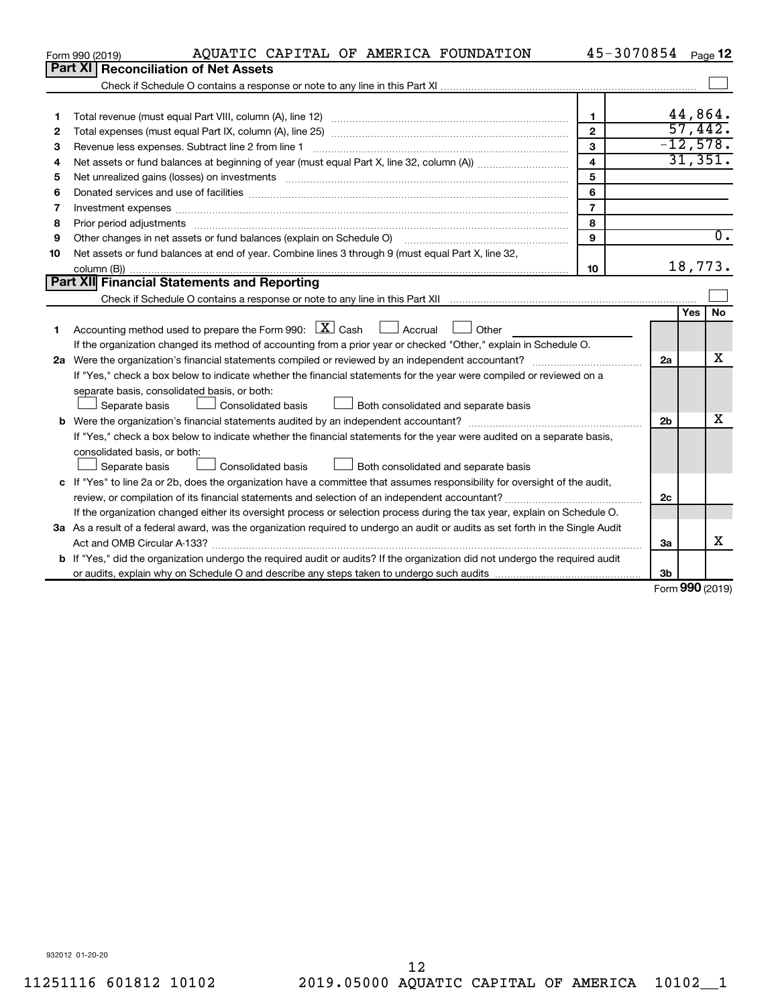|    | AQUATIC CAPITAL OF AMERICA FOUNDATION<br>Form 990 (2019)                                                                                                                                                                       |                         | 45-3070854     |               | Page 12          |
|----|--------------------------------------------------------------------------------------------------------------------------------------------------------------------------------------------------------------------------------|-------------------------|----------------|---------------|------------------|
|    | Part XI   Reconciliation of Net Assets                                                                                                                                                                                         |                         |                |               |                  |
|    |                                                                                                                                                                                                                                |                         |                |               |                  |
|    |                                                                                                                                                                                                                                |                         |                |               |                  |
| 1  |                                                                                                                                                                                                                                | 1                       |                |               | 44,864.          |
| 2  |                                                                                                                                                                                                                                | $\overline{2}$          |                | 57,442.       |                  |
| З  |                                                                                                                                                                                                                                | 3                       |                |               | $-12,578.$       |
| 4  |                                                                                                                                                                                                                                | $\overline{\mathbf{4}}$ |                |               | 31,351.          |
| 5  | Net unrealized gains (losses) on investments [11] matter contracts and the state of the state of the state of the state of the state of the state of the state of the state of the state of the state of the state of the stat | 5                       |                |               |                  |
| 6  |                                                                                                                                                                                                                                | 6                       |                |               |                  |
| 7  | Investment expenses www.communication.com/www.communication.com/www.communication.com/www.com                                                                                                                                  | $\overline{7}$          |                |               |                  |
| 8  | Prior period adjustments material contents and content and content and content and content and content and content and content and content and content and content and content and content and content and content and content | 8                       |                |               |                  |
| 9  | Other changes in net assets or fund balances (explain on Schedule O)                                                                                                                                                           | 9                       |                |               | $\overline{0}$ . |
| 10 | Net assets or fund balances at end of year. Combine lines 3 through 9 (must equal Part X, line 32,                                                                                                                             |                         |                |               |                  |
|    |                                                                                                                                                                                                                                | 10                      |                |               | 18,773.          |
|    | Part XII Financial Statements and Reporting                                                                                                                                                                                    |                         |                |               |                  |
|    |                                                                                                                                                                                                                                |                         |                |               |                  |
|    |                                                                                                                                                                                                                                |                         |                | <b>Yes</b>    | No.              |
| 1. | Accounting method used to prepare the Form 990: $X \subset X$ Cash $\Box$ Accrual $\Box$ Other                                                                                                                                 |                         |                |               |                  |
|    | If the organization changed its method of accounting from a prior year or checked "Other," explain in Schedule O.                                                                                                              |                         |                |               |                  |
|    |                                                                                                                                                                                                                                |                         | 2a             |               | x                |
|    | If "Yes," check a box below to indicate whether the financial statements for the year were compiled or reviewed on a                                                                                                           |                         |                |               |                  |
|    | separate basis, consolidated basis, or both:                                                                                                                                                                                   |                         |                |               |                  |
|    | Both consolidated and separate basis<br>Separate basis<br>Consolidated basis                                                                                                                                                   |                         |                |               |                  |
|    |                                                                                                                                                                                                                                |                         | 2 <sub>b</sub> |               | х                |
|    | If "Yes," check a box below to indicate whether the financial statements for the year were audited on a separate basis,                                                                                                        |                         |                |               |                  |
|    | consolidated basis, or both:                                                                                                                                                                                                   |                         |                |               |                  |
|    | Separate basis<br>Consolidated basis<br>Both consolidated and separate basis                                                                                                                                                   |                         |                |               |                  |
|    | c If "Yes" to line 2a or 2b, does the organization have a committee that assumes responsibility for oversight of the audit,                                                                                                    |                         |                |               |                  |
|    |                                                                                                                                                                                                                                |                         | 2c             |               |                  |
|    | If the organization changed either its oversight process or selection process during the tax year, explain on Schedule O.                                                                                                      |                         |                |               |                  |
|    | 3a As a result of a federal award, was the organization required to undergo an audit or audits as set forth in the Single Audit                                                                                                |                         |                |               |                  |
|    |                                                                                                                                                                                                                                |                         | За             |               | x                |
|    | <b>b</b> If "Yes," did the organization undergo the required audit or audits? If the organization did not undergo the required audit                                                                                           |                         |                |               |                  |
|    |                                                                                                                                                                                                                                |                         | 3b             |               |                  |
|    |                                                                                                                                                                                                                                |                         |                | $000 \approx$ |                  |

Form (2019) **990**

932012 01-20-20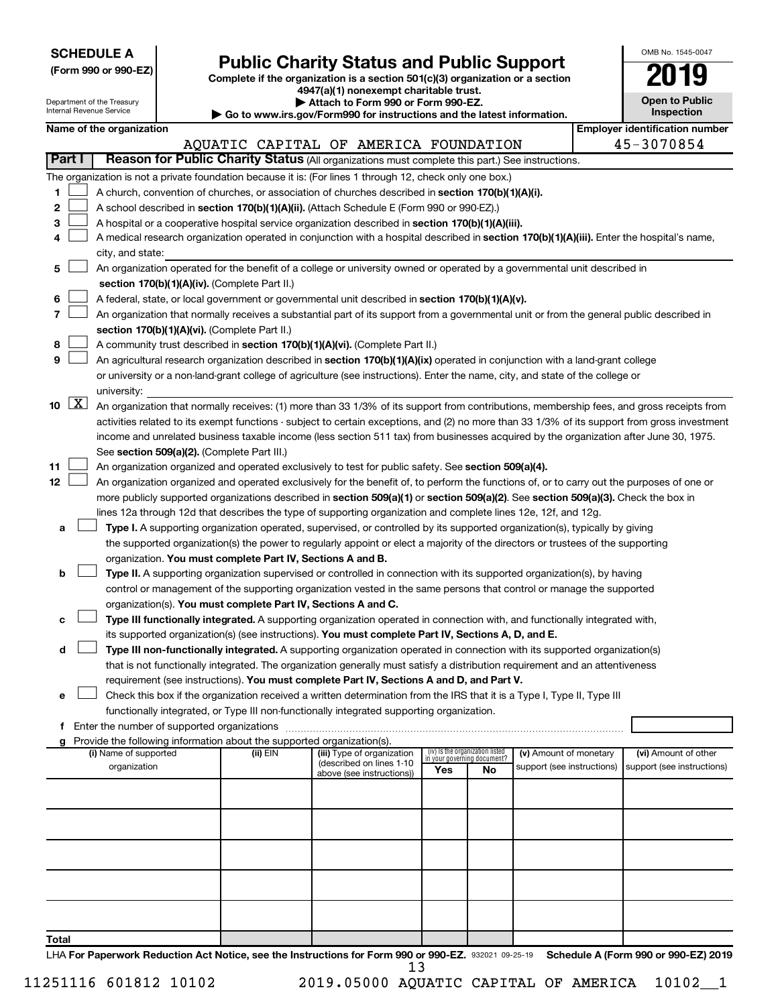|  |  | <b>SCHEDULE A</b> |  |
|--|--|-------------------|--|
|  |  |                   |  |

Form 990 or 990-EZ)<br>
Complete if the organization is a section 501(c)(3) organization or a section<br> **Public Charity Status and Public Support 4947(a)(1) nonexempt charitable trust.**

| OMB No. 1545-0047                   |
|-------------------------------------|
| 7019                                |
| <b>Open to Public</b><br>Inspection |

|        |                     | Department of the Treasury<br>Internal Revenue Service |                                                                        | Attach to Form 990 or Form 990-EZ.<br>Go to www.irs.gov/Form990 for instructions and the latest information.                                                                                                                                                    |                                 |                             |                                                      | <b>Open to Public</b><br>Inspection                |
|--------|---------------------|--------------------------------------------------------|------------------------------------------------------------------------|-----------------------------------------------------------------------------------------------------------------------------------------------------------------------------------------------------------------------------------------------------------------|---------------------------------|-----------------------------|------------------------------------------------------|----------------------------------------------------|
|        |                     | Name of the organization                               |                                                                        |                                                                                                                                                                                                                                                                 |                                 |                             |                                                      | <b>Employer identification number</b>              |
|        |                     |                                                        |                                                                        | AQUATIC CAPITAL OF AMERICA FOUNDATION                                                                                                                                                                                                                           |                                 |                             |                                                      | 45-3070854                                         |
| Part I |                     |                                                        |                                                                        | Reason for Public Charity Status (All organizations must complete this part.) See instructions.                                                                                                                                                                 |                                 |                             |                                                      |                                                    |
|        |                     |                                                        |                                                                        | The organization is not a private foundation because it is: (For lines 1 through 12, check only one box.)                                                                                                                                                       |                                 |                             |                                                      |                                                    |
| 1      |                     |                                                        |                                                                        | A church, convention of churches, or association of churches described in section 170(b)(1)(A)(i).                                                                                                                                                              |                                 |                             |                                                      |                                                    |
| 2      |                     |                                                        |                                                                        | A school described in section 170(b)(1)(A)(ii). (Attach Schedule E (Form 990 or 990-EZ).)                                                                                                                                                                       |                                 |                             |                                                      |                                                    |
| З      |                     |                                                        |                                                                        | A hospital or a cooperative hospital service organization described in section 170(b)(1)(A)(iii).                                                                                                                                                               |                                 |                             |                                                      |                                                    |
| 4      |                     |                                                        |                                                                        | A medical research organization operated in conjunction with a hospital described in section 170(b)(1)(A)(iii). Enter the hospital's name,                                                                                                                      |                                 |                             |                                                      |                                                    |
|        |                     | city, and state:                                       |                                                                        |                                                                                                                                                                                                                                                                 |                                 |                             |                                                      |                                                    |
| 5      |                     |                                                        |                                                                        | An organization operated for the benefit of a college or university owned or operated by a governmental unit described in                                                                                                                                       |                                 |                             |                                                      |                                                    |
|        |                     |                                                        | section 170(b)(1)(A)(iv). (Complete Part II.)                          |                                                                                                                                                                                                                                                                 |                                 |                             |                                                      |                                                    |
| 6      |                     |                                                        |                                                                        | A federal, state, or local government or governmental unit described in section 170(b)(1)(A)(v).                                                                                                                                                                |                                 |                             |                                                      |                                                    |
| 7      |                     |                                                        |                                                                        | An organization that normally receives a substantial part of its support from a governmental unit or from the general public described in                                                                                                                       |                                 |                             |                                                      |                                                    |
|        |                     |                                                        | section 170(b)(1)(A)(vi). (Complete Part II.)                          |                                                                                                                                                                                                                                                                 |                                 |                             |                                                      |                                                    |
| 8<br>9 |                     |                                                        |                                                                        | A community trust described in section 170(b)(1)(A)(vi). (Complete Part II.)                                                                                                                                                                                    |                                 |                             |                                                      |                                                    |
|        |                     |                                                        |                                                                        | An agricultural research organization described in section 170(b)(1)(A)(ix) operated in conjunction with a land-grant college<br>or university or a non-land-grant college of agriculture (see instructions). Enter the name, city, and state of the college or |                                 |                             |                                                      |                                                    |
|        |                     | university:                                            |                                                                        |                                                                                                                                                                                                                                                                 |                                 |                             |                                                      |                                                    |
| 10     | $\lfloor x \rfloor$ |                                                        |                                                                        | An organization that normally receives: (1) more than 33 1/3% of its support from contributions, membership fees, and gross receipts from                                                                                                                       |                                 |                             |                                                      |                                                    |
|        |                     |                                                        |                                                                        | activities related to its exempt functions - subject to certain exceptions, and (2) no more than 33 1/3% of its support from gross investment                                                                                                                   |                                 |                             |                                                      |                                                    |
|        |                     |                                                        |                                                                        | income and unrelated business taxable income (less section 511 tax) from businesses acquired by the organization after June 30, 1975.                                                                                                                           |                                 |                             |                                                      |                                                    |
|        |                     |                                                        | See section 509(a)(2). (Complete Part III.)                            |                                                                                                                                                                                                                                                                 |                                 |                             |                                                      |                                                    |
| 11     |                     |                                                        |                                                                        | An organization organized and operated exclusively to test for public safety. See section 509(a)(4).                                                                                                                                                            |                                 |                             |                                                      |                                                    |
| 12     |                     |                                                        |                                                                        | An organization organized and operated exclusively for the benefit of, to perform the functions of, or to carry out the purposes of one or                                                                                                                      |                                 |                             |                                                      |                                                    |
|        |                     |                                                        |                                                                        | more publicly supported organizations described in section 509(a)(1) or section 509(a)(2). See section 509(a)(3). Check the box in                                                                                                                              |                                 |                             |                                                      |                                                    |
|        |                     |                                                        |                                                                        | lines 12a through 12d that describes the type of supporting organization and complete lines 12e, 12f, and 12g.                                                                                                                                                  |                                 |                             |                                                      |                                                    |
| а      |                     |                                                        |                                                                        | Type I. A supporting organization operated, supervised, or controlled by its supported organization(s), typically by giving                                                                                                                                     |                                 |                             |                                                      |                                                    |
|        |                     |                                                        |                                                                        | the supported organization(s) the power to regularly appoint or elect a majority of the directors or trustees of the supporting                                                                                                                                 |                                 |                             |                                                      |                                                    |
|        |                     |                                                        | organization. You must complete Part IV, Sections A and B.             |                                                                                                                                                                                                                                                                 |                                 |                             |                                                      |                                                    |
| b      |                     |                                                        |                                                                        | Type II. A supporting organization supervised or controlled in connection with its supported organization(s), by having                                                                                                                                         |                                 |                             |                                                      |                                                    |
|        |                     |                                                        | organization(s). You must complete Part IV, Sections A and C.          | control or management of the supporting organization vested in the same persons that control or manage the supported                                                                                                                                            |                                 |                             |                                                      |                                                    |
| с      |                     |                                                        |                                                                        | Type III functionally integrated. A supporting organization operated in connection with, and functionally integrated with,                                                                                                                                      |                                 |                             |                                                      |                                                    |
|        |                     |                                                        |                                                                        | its supported organization(s) (see instructions). You must complete Part IV, Sections A, D, and E.                                                                                                                                                              |                                 |                             |                                                      |                                                    |
| d      |                     |                                                        |                                                                        | Type III non-functionally integrated. A supporting organization operated in connection with its supported organization(s)                                                                                                                                       |                                 |                             |                                                      |                                                    |
|        |                     |                                                        |                                                                        | that is not functionally integrated. The organization generally must satisfy a distribution requirement and an attentiveness                                                                                                                                    |                                 |                             |                                                      |                                                    |
|        |                     |                                                        |                                                                        | requirement (see instructions). You must complete Part IV, Sections A and D, and Part V.                                                                                                                                                                        |                                 |                             |                                                      |                                                    |
| е      |                     |                                                        |                                                                        | Check this box if the organization received a written determination from the IRS that it is a Type I, Type II, Type III                                                                                                                                         |                                 |                             |                                                      |                                                    |
|        |                     |                                                        |                                                                        | functionally integrated, or Type III non-functionally integrated supporting organization.                                                                                                                                                                       |                                 |                             |                                                      |                                                    |
|        |                     |                                                        |                                                                        |                                                                                                                                                                                                                                                                 |                                 |                             |                                                      |                                                    |
| g      |                     |                                                        | Provide the following information about the supported organization(s). |                                                                                                                                                                                                                                                                 | (iv) Is the organization listed |                             |                                                      |                                                    |
|        |                     | (i) Name of supported<br>organization                  | (ii) EIN                                                               | (iii) Type of organization<br>(described on lines 1-10                                                                                                                                                                                                          |                                 | in your governing document? | (v) Amount of monetary<br>support (see instructions) | (vi) Amount of other<br>support (see instructions) |
|        |                     |                                                        |                                                                        | above (see instructions))                                                                                                                                                                                                                                       | Yes                             | No                          |                                                      |                                                    |
|        |                     |                                                        |                                                                        |                                                                                                                                                                                                                                                                 |                                 |                             |                                                      |                                                    |
|        |                     |                                                        |                                                                        |                                                                                                                                                                                                                                                                 |                                 |                             |                                                      |                                                    |
|        |                     |                                                        |                                                                        |                                                                                                                                                                                                                                                                 |                                 |                             |                                                      |                                                    |
|        |                     |                                                        |                                                                        |                                                                                                                                                                                                                                                                 |                                 |                             |                                                      |                                                    |
|        |                     |                                                        |                                                                        |                                                                                                                                                                                                                                                                 |                                 |                             |                                                      |                                                    |
|        |                     |                                                        |                                                                        |                                                                                                                                                                                                                                                                 |                                 |                             |                                                      |                                                    |
|        |                     |                                                        |                                                                        |                                                                                                                                                                                                                                                                 |                                 |                             |                                                      |                                                    |
|        |                     |                                                        |                                                                        |                                                                                                                                                                                                                                                                 |                                 |                             |                                                      |                                                    |
|        |                     |                                                        |                                                                        |                                                                                                                                                                                                                                                                 |                                 |                             |                                                      |                                                    |
| Total  |                     |                                                        |                                                                        |                                                                                                                                                                                                                                                                 |                                 |                             |                                                      |                                                    |

LHA For Paperwork Reduction Act Notice, see the Instructions for Form 990 or 990-EZ. 932021 09-25-19 Schedule A (Form 990 or 990-EZ) 2019 13

11251116 601812 10102 2019.05000 AQUATIC CAPITAL OF AMERICA 10102\_\_1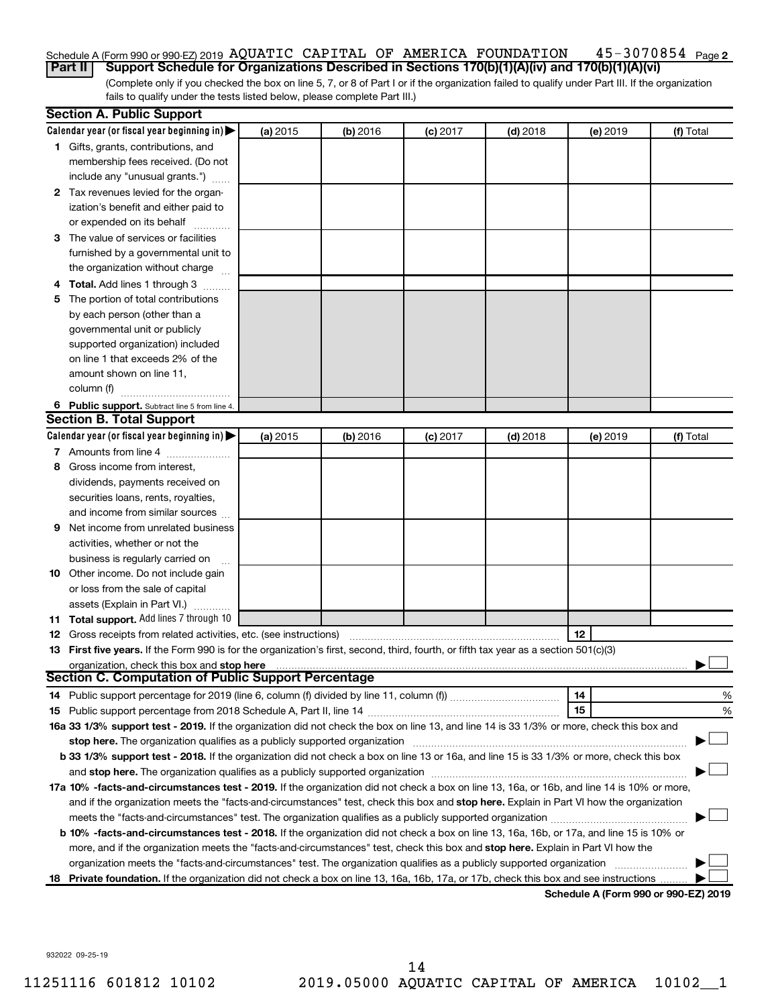### 45-3070854 Page 2 Schedule A (Form 990 or 990-EZ) 2019 AQUATIC CAPITAL OF AMERICA FOUNDATION  $\,$  45-3070854  $\,$   $_{\rm Page}$ **Part II Support Schedule for Organizations Described in Sections 170(b)(1)(A)(iv) and 170(b)(1)(A)(vi)**

(Complete only if you checked the box on line 5, 7, or 8 of Part I or if the organization failed to qualify under Part III. If the organization fails to qualify under the tests listed below, please complete Part III.)

|   | <b>Section A. Public Support</b>                                                                                                                                                                                           |          |          |            |            |          |                                      |
|---|----------------------------------------------------------------------------------------------------------------------------------------------------------------------------------------------------------------------------|----------|----------|------------|------------|----------|--------------------------------------|
|   | Calendar year (or fiscal year beginning in)                                                                                                                                                                                | (a) 2015 | (b) 2016 | $(c)$ 2017 | $(d)$ 2018 | (e) 2019 | (f) Total                            |
|   | 1 Gifts, grants, contributions, and                                                                                                                                                                                        |          |          |            |            |          |                                      |
|   | membership fees received. (Do not                                                                                                                                                                                          |          |          |            |            |          |                                      |
|   | include any "unusual grants.")                                                                                                                                                                                             |          |          |            |            |          |                                      |
|   | 2 Tax revenues levied for the organ-                                                                                                                                                                                       |          |          |            |            |          |                                      |
|   | ization's benefit and either paid to                                                                                                                                                                                       |          |          |            |            |          |                                      |
|   | or expended on its behalf                                                                                                                                                                                                  |          |          |            |            |          |                                      |
|   | 3 The value of services or facilities                                                                                                                                                                                      |          |          |            |            |          |                                      |
|   | furnished by a governmental unit to                                                                                                                                                                                        |          |          |            |            |          |                                      |
|   | the organization without charge                                                                                                                                                                                            |          |          |            |            |          |                                      |
|   | 4 Total. Add lines 1 through 3                                                                                                                                                                                             |          |          |            |            |          |                                      |
|   | 5 The portion of total contributions                                                                                                                                                                                       |          |          |            |            |          |                                      |
|   | by each person (other than a                                                                                                                                                                                               |          |          |            |            |          |                                      |
|   | governmental unit or publicly                                                                                                                                                                                              |          |          |            |            |          |                                      |
|   | supported organization) included                                                                                                                                                                                           |          |          |            |            |          |                                      |
|   | on line 1 that exceeds 2% of the                                                                                                                                                                                           |          |          |            |            |          |                                      |
|   | amount shown on line 11,                                                                                                                                                                                                   |          |          |            |            |          |                                      |
|   | column (f)                                                                                                                                                                                                                 |          |          |            |            |          |                                      |
|   | 6 Public support. Subtract line 5 from line 4.                                                                                                                                                                             |          |          |            |            |          |                                      |
|   | <b>Section B. Total Support</b>                                                                                                                                                                                            |          |          |            |            |          |                                      |
|   | Calendar year (or fiscal year beginning in)                                                                                                                                                                                | (a) 2015 | (b) 2016 | $(c)$ 2017 | $(d)$ 2018 | (e) 2019 | (f) Total                            |
|   | 7 Amounts from line 4                                                                                                                                                                                                      |          |          |            |            |          |                                      |
|   | 8 Gross income from interest,                                                                                                                                                                                              |          |          |            |            |          |                                      |
|   | dividends, payments received on                                                                                                                                                                                            |          |          |            |            |          |                                      |
|   | securities loans, rents, royalties,                                                                                                                                                                                        |          |          |            |            |          |                                      |
|   | and income from similar sources                                                                                                                                                                                            |          |          |            |            |          |                                      |
| 9 | Net income from unrelated business                                                                                                                                                                                         |          |          |            |            |          |                                      |
|   | activities, whether or not the                                                                                                                                                                                             |          |          |            |            |          |                                      |
|   | business is regularly carried on                                                                                                                                                                                           |          |          |            |            |          |                                      |
|   | 10 Other income. Do not include gain                                                                                                                                                                                       |          |          |            |            |          |                                      |
|   | or loss from the sale of capital                                                                                                                                                                                           |          |          |            |            |          |                                      |
|   | assets (Explain in Part VI.)                                                                                                                                                                                               |          |          |            |            |          |                                      |
|   | 11 Total support. Add lines 7 through 10                                                                                                                                                                                   |          |          |            |            |          |                                      |
|   | <b>12</b> Gross receipts from related activities, etc. (see instructions)                                                                                                                                                  |          |          |            |            | 12       |                                      |
|   | 13 First five years. If the Form 990 is for the organization's first, second, third, fourth, or fifth tax year as a section 501(c)(3)                                                                                      |          |          |            |            |          |                                      |
|   | organization, check this box and stop here                                                                                                                                                                                 |          |          |            |            |          |                                      |
|   | <b>Section C. Computation of Public Support Percentage</b>                                                                                                                                                                 |          |          |            |            |          |                                      |
|   |                                                                                                                                                                                                                            |          |          |            |            | 14       | %                                    |
|   |                                                                                                                                                                                                                            |          |          |            |            | 15       | %                                    |
|   | 16a 33 1/3% support test - 2019. If the organization did not check the box on line 13, and line 14 is 33 1/3% or more, check this box and                                                                                  |          |          |            |            |          |                                      |
|   | stop here. The organization qualifies as a publicly supported organization                                                                                                                                                 |          |          |            |            |          |                                      |
|   | b 33 1/3% support test - 2018. If the organization did not check a box on line 13 or 16a, and line 15 is 33 1/3% or more, check this box                                                                                   |          |          |            |            |          |                                      |
|   | and stop here. The organization qualifies as a publicly supported organization [11] manuscription manuscription manuscription manuscription and stop here. The organization qualifies as a publicly supported organization |          |          |            |            |          |                                      |
|   | 17a 10% -facts-and-circumstances test - 2019. If the organization did not check a box on line 13, 16a, or 16b, and line 14 is 10% or more,                                                                                 |          |          |            |            |          |                                      |
|   | and if the organization meets the "facts-and-circumstances" test, check this box and stop here. Explain in Part VI how the organization                                                                                    |          |          |            |            |          |                                      |
|   | meets the "facts-and-circumstances" test. The organization qualifies as a publicly supported organization                                                                                                                  |          |          |            |            |          |                                      |
|   | b 10% -facts-and-circumstances test - 2018. If the organization did not check a box on line 13, 16a, 16b, or 17a, and line 15 is 10% or                                                                                    |          |          |            |            |          |                                      |
|   | more, and if the organization meets the "facts-and-circumstances" test, check this box and stop here. Explain in Part VI how the                                                                                           |          |          |            |            |          |                                      |
|   | organization meets the "facts-and-circumstances" test. The organization qualifies as a publicly supported organization                                                                                                     |          |          |            |            |          |                                      |
|   | 18 Private foundation. If the organization did not check a box on line 13, 16a, 16b, 17a, or 17b, check this box and see instructions                                                                                      |          |          |            |            |          | Cahadula A (Faum 000 av 000 EZ) 0010 |

**Schedule A (Form 990 or 990-EZ) 2019**

932022 09-25-19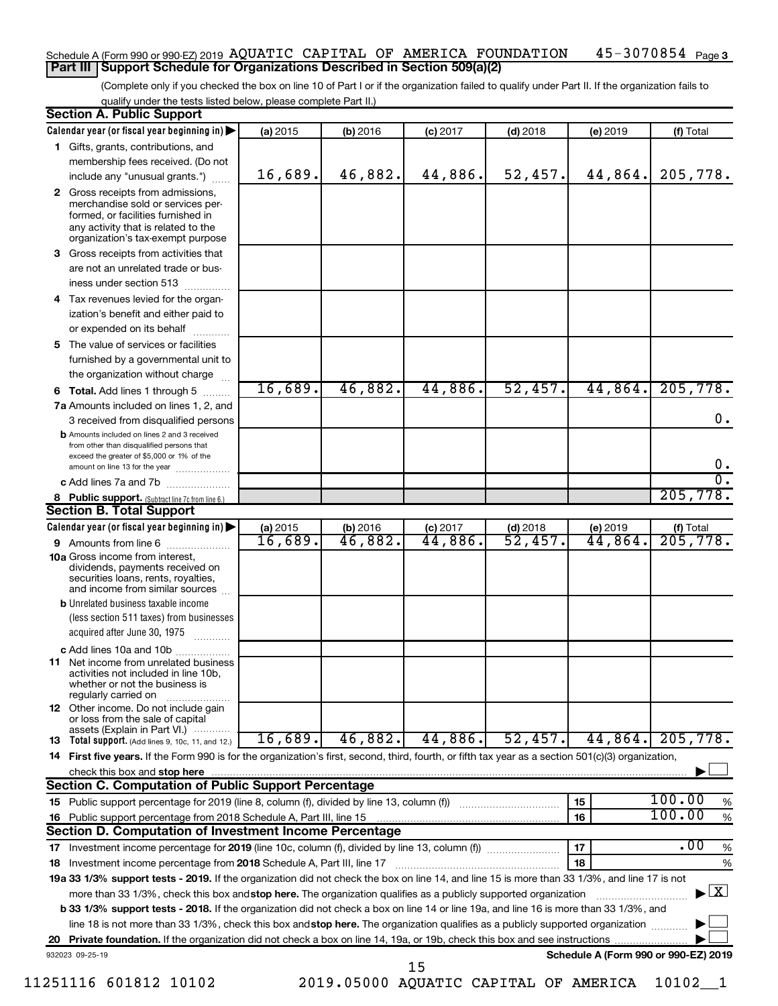### $45 - 3070854$  Page 3 Schedule A (Form 990 or 990-EZ) 2019 AQUATIC CAPITAL OF AMERICA FOUNDATION  $\,$  45-3070854  $\,$   $_{\rm Page}$ **Part III Support Schedule for Organizations Described in Section 509(a)(2)**

(Complete only if you checked the box on line 10 of Part I or if the organization failed to qualify under Part II. If the organization fails to qualify under the tests listed below, please complete Part II.)

| <b>Section A. Public Support</b>                                                                                                                                                         |          |                     |            |            |                                      |                                          |
|------------------------------------------------------------------------------------------------------------------------------------------------------------------------------------------|----------|---------------------|------------|------------|--------------------------------------|------------------------------------------|
| Calendar year (or fiscal year beginning in)                                                                                                                                              | (a) 2015 | (b) 2016            | $(c)$ 2017 | $(d)$ 2018 | (e) 2019                             | (f) Total                                |
| 1 Gifts, grants, contributions, and                                                                                                                                                      |          |                     |            |            |                                      |                                          |
| membership fees received. (Do not                                                                                                                                                        |          |                     |            |            |                                      |                                          |
| include any "unusual grants.")                                                                                                                                                           | 16,689.  | 46,882.             | 44,886.    | 52,457.    | 44,864.                              | 205,778.                                 |
| 2 Gross receipts from admissions,<br>merchandise sold or services per-<br>formed, or facilities furnished in<br>any activity that is related to the<br>organization's tax-exempt purpose |          |                     |            |            |                                      |                                          |
| 3 Gross receipts from activities that                                                                                                                                                    |          |                     |            |            |                                      |                                          |
| are not an unrelated trade or bus-                                                                                                                                                       |          |                     |            |            |                                      |                                          |
| iness under section 513                                                                                                                                                                  |          |                     |            |            |                                      |                                          |
| 4 Tax revenues levied for the organ-                                                                                                                                                     |          |                     |            |            |                                      |                                          |
| ization's benefit and either paid to                                                                                                                                                     |          |                     |            |            |                                      |                                          |
| or expended on its behalf                                                                                                                                                                |          |                     |            |            |                                      |                                          |
| 5 The value of services or facilities                                                                                                                                                    |          |                     |            |            |                                      |                                          |
| furnished by a governmental unit to                                                                                                                                                      |          |                     |            |            |                                      |                                          |
| the organization without charge                                                                                                                                                          |          |                     |            |            |                                      |                                          |
| <b>6 Total.</b> Add lines 1 through 5                                                                                                                                                    | 16,689.  | 46,882.             | 44,886.    | 52,457.    | 44,864.                              | 205,778.                                 |
| 7a Amounts included on lines 1, 2, and                                                                                                                                                   |          |                     |            |            |                                      |                                          |
| 3 received from disqualified persons                                                                                                                                                     |          |                     |            |            |                                      | 0.                                       |
| <b>b</b> Amounts included on lines 2 and 3 received<br>from other than disqualified persons that<br>exceed the greater of \$5,000 or 1% of the                                           |          |                     |            |            |                                      |                                          |
| amount on line 13 for the year                                                                                                                                                           |          |                     |            |            |                                      | $0 \cdot$<br>$\overline{0}$ .            |
| c Add lines 7a and 7b                                                                                                                                                                    |          |                     |            |            |                                      | 205,778.                                 |
| 8 Public support. (Subtract line 7c from line 6.)<br><b>Section B. Total Support</b>                                                                                                     |          |                     |            |            |                                      |                                          |
| Calendar year (or fiscal year beginning in)                                                                                                                                              | (a) 2015 | (b) 2016            | $(c)$ 2017 | $(d)$ 2018 | (e) 2019                             |                                          |
| 9 Amounts from line 6                                                                                                                                                                    | 16,689.  | $\overline{46,882}$ | 44,886.    | 52,457.    | 44,864.                              | $\frac{f(f) \text{Total}}{205,778.}$     |
| <b>10a</b> Gross income from interest,<br>dividends, payments received on<br>securities loans, rents, royalties,<br>and income from similar sources                                      |          |                     |            |            |                                      |                                          |
| <b>b</b> Unrelated business taxable income                                                                                                                                               |          |                     |            |            |                                      |                                          |
| (less section 511 taxes) from businesses                                                                                                                                                 |          |                     |            |            |                                      |                                          |
| acquired after June 30, 1975                                                                                                                                                             |          |                     |            |            |                                      |                                          |
| c Add lines 10a and 10b                                                                                                                                                                  |          |                     |            |            |                                      |                                          |
| <b>11</b> Net income from unrelated business<br>activities not included in line 10b,<br>whether or not the business is<br>regularly carried on                                           |          |                     |            |            |                                      |                                          |
| 12 Other income. Do not include gain<br>or loss from the sale of capital                                                                                                                 |          |                     |            |            |                                      |                                          |
| assets (Explain in Part VI.)<br><b>13</b> Total support. (Add lines 9, 10c, 11, and 12.)                                                                                                 | 16,689.  | 46,882.             | 44,886.    | 52,457.    | 44,864.                              | 205,778.                                 |
| 14 First five years. If the Form 990 is for the organization's first, second, third, fourth, or fifth tax year as a section 501(c)(3) organization,                                      |          |                     |            |            |                                      |                                          |
| check this box and stop here                                                                                                                                                             |          |                     |            |            |                                      |                                          |
| <b>Section C. Computation of Public Support Percentage</b>                                                                                                                               |          |                     |            |            |                                      |                                          |
|                                                                                                                                                                                          |          |                     |            |            | 15                                   | 100.00<br>%                              |
| 16 Public support percentage from 2018 Schedule A, Part III, line 15                                                                                                                     |          |                     |            |            | 16                                   | 100.00<br>$\%$                           |
| Section D. Computation of Investment Income Percentage                                                                                                                                   |          |                     |            |            |                                      |                                          |
|                                                                                                                                                                                          |          |                     |            |            | 17                                   | $\overline{.00}$<br>$\%$                 |
| 18 Investment income percentage from 2018 Schedule A, Part III, line 17                                                                                                                  |          |                     |            |            | 18                                   | $\%$                                     |
| 19a 33 1/3% support tests - 2019. If the organization did not check the box on line 14, and line 15 is more than 33 1/3%, and line 17 is not                                             |          |                     |            |            |                                      |                                          |
| more than 33 1/3%, check this box and stop here. The organization qualifies as a publicly supported organization                                                                         |          |                     |            |            |                                      | $\blacktriangleright$ $\boxed{\text{X}}$ |
| <b>b 33 1/3% support tests - 2018.</b> If the organization did not check a box on line 14 or line 19a, and line 16 is more than 33 1/3%, and                                             |          |                     |            |            |                                      |                                          |
| line 18 is not more than 33 1/3%, check this box and stop here. The organization qualifies as a publicly supported organization                                                          |          |                     |            |            |                                      |                                          |
|                                                                                                                                                                                          |          |                     |            |            |                                      |                                          |
| 932023 09-25-19                                                                                                                                                                          |          |                     | 15         |            | Schedule A (Form 990 or 990-EZ) 2019 |                                          |

11251116 601812 10102 2019.05000 AQUATIC CAPITAL OF AMERICA 10102\_\_1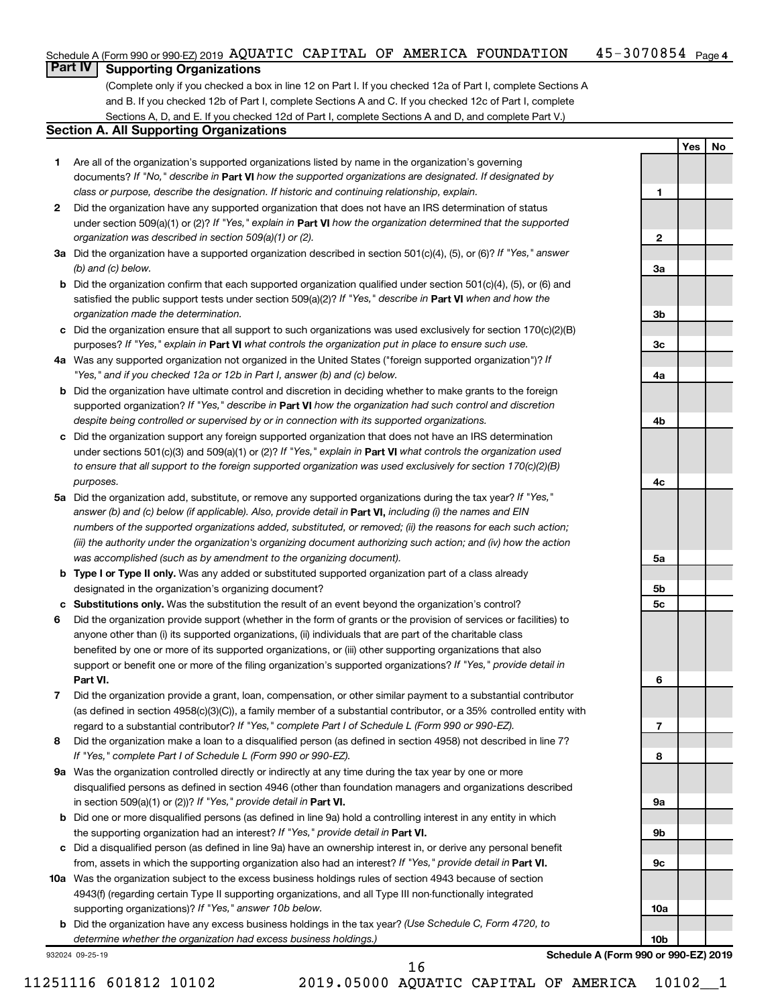#### $45 - 3070854$  Page 4 Schedule A (Form 990 or 990-EZ) 2019 AQUATIC CAPITAL OF AMERICA FOUNDATION  $\,$  45-3070854  $\,$   $_{\rm Page}$

## **Part IV Supporting Organizations**

(Complete only if you checked a box in line 12 on Part I. If you checked 12a of Part I, complete Sections A and B. If you checked 12b of Part I, complete Sections A and C. If you checked 12c of Part I, complete Sections A, D, and E. If you checked 12d of Part I, complete Sections A and D, and complete Part V.)

### **Section A. All Supporting Organizations**

- **1** Are all of the organization's supported organizations listed by name in the organization's governing documents? If "No," describe in Part VI how the supported organizations are designated. If designated by *class or purpose, describe the designation. If historic and continuing relationship, explain.*
- **2** Did the organization have any supported organization that does not have an IRS determination of status under section 509(a)(1) or (2)? If "Yes," explain in Part **VI** how the organization determined that the supported *organization was described in section 509(a)(1) or (2).*
- **3a** Did the organization have a supported organization described in section 501(c)(4), (5), or (6)? If "Yes," answer *(b) and (c) below.*
- **b** Did the organization confirm that each supported organization qualified under section 501(c)(4), (5), or (6) and satisfied the public support tests under section 509(a)(2)? If "Yes," describe in Part VI when and how the *organization made the determination.*
- **c** Did the organization ensure that all support to such organizations was used exclusively for section 170(c)(2)(B) purposes? If "Yes," explain in Part VI what controls the organization put in place to ensure such use.
- **4 a** *If* Was any supported organization not organized in the United States ("foreign supported organization")? *"Yes," and if you checked 12a or 12b in Part I, answer (b) and (c) below.*
- **b** Did the organization have ultimate control and discretion in deciding whether to make grants to the foreign supported organization? If "Yes," describe in Part VI how the organization had such control and discretion *despite being controlled or supervised by or in connection with its supported organizations.*
- **c** Did the organization support any foreign supported organization that does not have an IRS determination under sections 501(c)(3) and 509(a)(1) or (2)? If "Yes," explain in Part VI what controls the organization used *to ensure that all support to the foreign supported organization was used exclusively for section 170(c)(2)(B) purposes.*
- **5a** Did the organization add, substitute, or remove any supported organizations during the tax year? If "Yes," answer (b) and (c) below (if applicable). Also, provide detail in **Part VI,** including (i) the names and EIN *numbers of the supported organizations added, substituted, or removed; (ii) the reasons for each such action; (iii) the authority under the organization's organizing document authorizing such action; and (iv) how the action was accomplished (such as by amendment to the organizing document).*
- **b** Type I or Type II only. Was any added or substituted supported organization part of a class already designated in the organization's organizing document?
- **c Substitutions only.**  Was the substitution the result of an event beyond the organization's control?
- **6** Did the organization provide support (whether in the form of grants or the provision of services or facilities) to **Part VI.** support or benefit one or more of the filing organization's supported organizations? If "Yes," provide detail in anyone other than (i) its supported organizations, (ii) individuals that are part of the charitable class benefited by one or more of its supported organizations, or (iii) other supporting organizations that also
- **7** Did the organization provide a grant, loan, compensation, or other similar payment to a substantial contributor regard to a substantial contributor? If "Yes," complete Part I of Schedule L (Form 990 or 990-EZ). (as defined in section 4958(c)(3)(C)), a family member of a substantial contributor, or a 35% controlled entity with
- **8** Did the organization make a loan to a disqualified person (as defined in section 4958) not described in line 7? *If "Yes," complete Part I of Schedule L (Form 990 or 990-EZ).*
- **9 a** Was the organization controlled directly or indirectly at any time during the tax year by one or more in section 509(a)(1) or (2))? If "Yes," provide detail in **Part VI.** disqualified persons as defined in section 4946 (other than foundation managers and organizations described
- **b** Did one or more disqualified persons (as defined in line 9a) hold a controlling interest in any entity in which the supporting organization had an interest? If "Yes," provide detail in Part VI.
- **c** Did a disqualified person (as defined in line 9a) have an ownership interest in, or derive any personal benefit from, assets in which the supporting organization also had an interest? If "Yes," provide detail in Part VI.
- **10 a** Was the organization subject to the excess business holdings rules of section 4943 because of section supporting organizations)? If "Yes," answer 10b below. 4943(f) (regarding certain Type II supporting organizations, and all Type III non-functionally integrated
	- **b** Did the organization have any excess business holdings in the tax year? (Use Schedule C, Form 4720, to *determine whether the organization had excess business holdings.)*

932024 09-25-19

**Schedule A (Form 990 or 990-EZ) 2019**

**Yes No**

**1**

**2**

**3a**

**3b**

**3c**

**4a**

**4b**

**4c**

**5a**

**5b 5c**

**6**

**7**

**8**

**9a**

**9b**

**9c**

**10a**

**10b**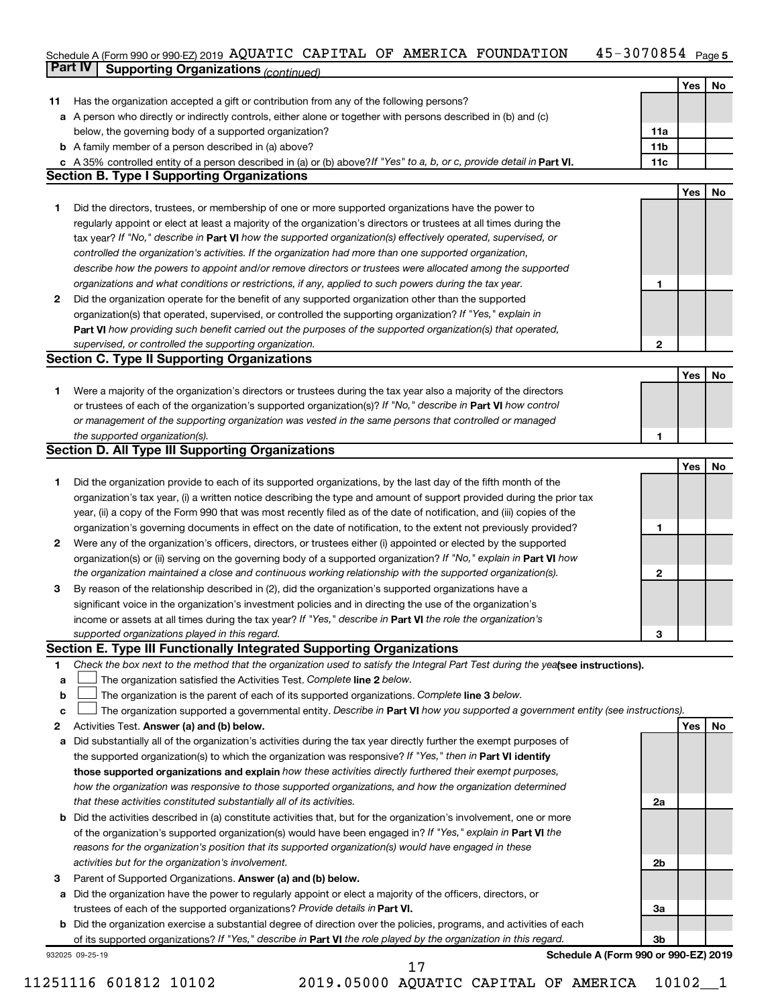#### 45-3070854 Page 5 Schedule A (Form 990 or 990-EZ) 2019 AQUATIC CAPITAL OF AMERICA FOUNDATION 45-3070854 Page AQUATIC CAPITAL OF AMERICA FOUNDATION 45-3070854

|    | <b>Part IV</b>  | <b>Supporting Organizations (continued)</b>                                                                                                                                  |                 |            |    |
|----|-----------------|------------------------------------------------------------------------------------------------------------------------------------------------------------------------------|-----------------|------------|----|
|    |                 |                                                                                                                                                                              |                 | Yes        | No |
| 11 |                 | Has the organization accepted a gift or contribution from any of the following persons?                                                                                      |                 |            |    |
| а  |                 | A person who directly or indirectly controls, either alone or together with persons described in (b) and (c)                                                                 |                 |            |    |
|    |                 | below, the governing body of a supported organization?                                                                                                                       | 11a             |            |    |
|    |                 | <b>b</b> A family member of a person described in (a) above?                                                                                                                 | 11 <sub>b</sub> |            |    |
|    |                 |                                                                                                                                                                              | 11c             |            |    |
|    |                 | c A 35% controlled entity of a person described in (a) or (b) above? If "Yes" to a, b, or c, provide detail in Part VI.<br><b>Section B. Type I Supporting Organizations</b> |                 |            |    |
|    |                 |                                                                                                                                                                              |                 |            |    |
|    |                 |                                                                                                                                                                              |                 | Yes        | No |
| 1. |                 | Did the directors, trustees, or membership of one or more supported organizations have the power to                                                                          |                 |            |    |
|    |                 | regularly appoint or elect at least a majority of the organization's directors or trustees at all times during the                                                           |                 |            |    |
|    |                 | tax year? If "No," describe in Part VI how the supported organization(s) effectively operated, supervised, or                                                                |                 |            |    |
|    |                 | controlled the organization's activities. If the organization had more than one supported organization,                                                                      |                 |            |    |
|    |                 | describe how the powers to appoint and/or remove directors or trustees were allocated among the supported                                                                    |                 |            |    |
|    |                 | organizations and what conditions or restrictions, if any, applied to such powers during the tax year.                                                                       | 1               |            |    |
| 2  |                 | Did the organization operate for the benefit of any supported organization other than the supported                                                                          |                 |            |    |
|    |                 | organization(s) that operated, supervised, or controlled the supporting organization? If "Yes," explain in                                                                   |                 |            |    |
|    |                 | Part VI how providing such benefit carried out the purposes of the supported organization(s) that operated,                                                                  |                 |            |    |
|    |                 | supervised, or controlled the supporting organization.                                                                                                                       | 2               |            |    |
|    |                 | <b>Section C. Type II Supporting Organizations</b>                                                                                                                           |                 |            |    |
|    |                 |                                                                                                                                                                              |                 | <b>Yes</b> | No |
| 1. |                 | Were a majority of the organization's directors or trustees during the tax year also a majority of the directors                                                             |                 |            |    |
|    |                 | or trustees of each of the organization's supported organization(s)? If "No," describe in Part VI how control                                                                |                 |            |    |
|    |                 | or management of the supporting organization was vested in the same persons that controlled or managed                                                                       |                 |            |    |
|    |                 | the supported organization(s).                                                                                                                                               | 1               |            |    |
|    |                 | <b>Section D. All Type III Supporting Organizations</b>                                                                                                                      |                 |            |    |
|    |                 |                                                                                                                                                                              |                 | <b>Yes</b> | No |
| 1  |                 | Did the organization provide to each of its supported organizations, by the last day of the fifth month of the                                                               |                 |            |    |
|    |                 | organization's tax year, (i) a written notice describing the type and amount of support provided during the prior tax                                                        |                 |            |    |
|    |                 | year, (ii) a copy of the Form 990 that was most recently filed as of the date of notification, and (iii) copies of the                                                       |                 |            |    |
|    |                 | organization's governing documents in effect on the date of notification, to the extent not previously provided?                                                             | 1               |            |    |
| 2  |                 | Were any of the organization's officers, directors, or trustees either (i) appointed or elected by the supported                                                             |                 |            |    |
|    |                 |                                                                                                                                                                              |                 |            |    |
|    |                 | organization(s) or (ii) serving on the governing body of a supported organization? If "No," explain in Part VI how                                                           | 2               |            |    |
|    |                 | the organization maintained a close and continuous working relationship with the supported organization(s).                                                                  |                 |            |    |
| 3  |                 | By reason of the relationship described in (2), did the organization's supported organizations have a                                                                        |                 |            |    |
|    |                 | significant voice in the organization's investment policies and in directing the use of the organization's                                                                   |                 |            |    |
|    |                 | income or assets at all times during the tax year? If "Yes," describe in Part VI the role the organization's                                                                 |                 |            |    |
|    |                 | supported organizations played in this regard.                                                                                                                               | з               |            |    |
|    |                 | Section E. Type III Functionally Integrated Supporting Organizations                                                                                                         |                 |            |    |
| 1  |                 | Check the box next to the method that the organization used to satisfy the Integral Part Test during the yealsee instructions).                                              |                 |            |    |
| a  |                 | The organization satisfied the Activities Test. Complete line 2 below.                                                                                                       |                 |            |    |
| b  |                 | The organization is the parent of each of its supported organizations. Complete line 3 below.                                                                                |                 |            |    |
| c  |                 | The organization supported a governmental entity. Describe in Part VI how you supported a government entity (see instructions).                                              |                 |            |    |
| 2  |                 | Activities Test. Answer (a) and (b) below.                                                                                                                                   |                 | Yes        | No |
| а  |                 | Did substantially all of the organization's activities during the tax year directly further the exempt purposes of                                                           |                 |            |    |
|    |                 | the supported organization(s) to which the organization was responsive? If "Yes," then in Part VI identify                                                                   |                 |            |    |
|    |                 | those supported organizations and explain how these activities directly furthered their exempt purposes,                                                                     |                 |            |    |
|    |                 | how the organization was responsive to those supported organizations, and how the organization determined                                                                    |                 |            |    |
|    |                 | that these activities constituted substantially all of its activities.                                                                                                       | 2a              |            |    |
| b  |                 | Did the activities described in (a) constitute activities that, but for the organization's involvement, one or more                                                          |                 |            |    |
|    |                 | of the organization's supported organization(s) would have been engaged in? If "Yes," explain in Part VI the                                                                 |                 |            |    |
|    |                 | reasons for the organization's position that its supported organization(s) would have engaged in these                                                                       |                 |            |    |
|    |                 | activities but for the organization's involvement.                                                                                                                           | 2b              |            |    |
| з  |                 | Parent of Supported Organizations. Answer (a) and (b) below.                                                                                                                 |                 |            |    |
| а  |                 | Did the organization have the power to regularly appoint or elect a majority of the officers, directors, or                                                                  |                 |            |    |
|    |                 | trustees of each of the supported organizations? Provide details in Part VI.                                                                                                 | За              |            |    |
|    |                 | <b>b</b> Did the organization exercise a substantial degree of direction over the policies, programs, and activities of each                                                 |                 |            |    |
|    |                 | of its supported organizations? If "Yes," describe in Part VI the role played by the organization in this regard.                                                            | Зb              |            |    |
|    | 932025 09-25-19 | Schedule A (Form 990 or 990-EZ) 2019                                                                                                                                         |                 |            |    |
|    |                 | 17                                                                                                                                                                           |                 |            |    |

<sup>11251116 601812 10102 2019.05000</sup> AQUATIC CAPITAL OF AMERICA 10102\_\_1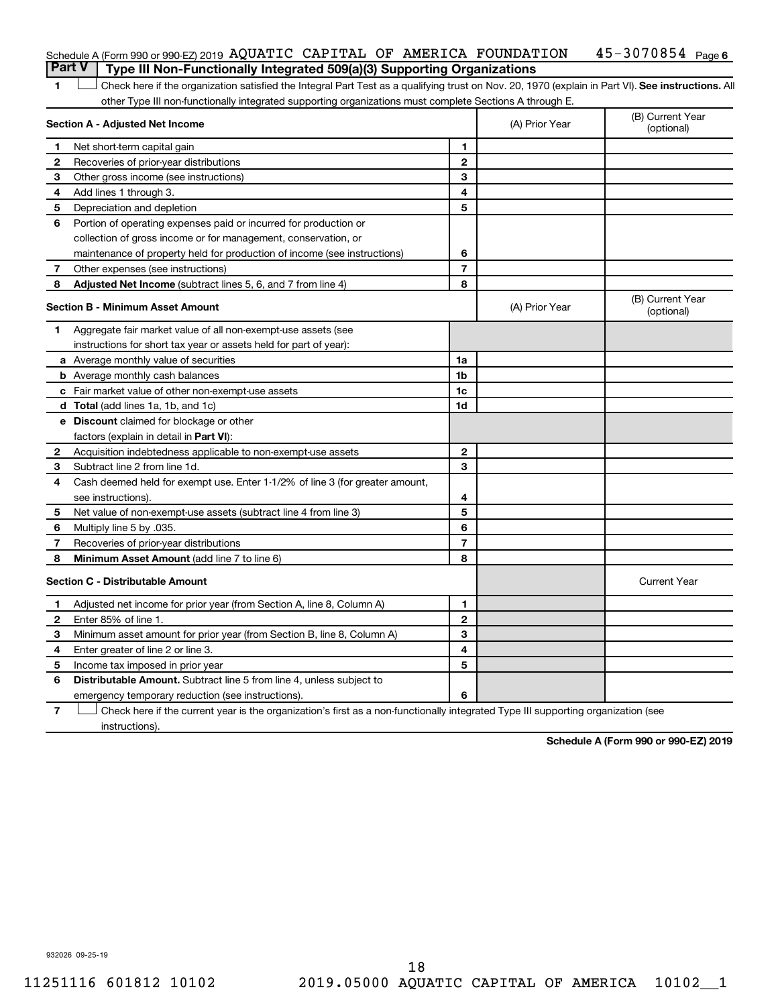| Part V   Type III Non-Functionally Integrated 509(a)(3) Supporting Organizations |  |  |                              |  |
|----------------------------------------------------------------------------------|--|--|------------------------------|--|
| Schedule A (Form 990 or 990-EZ) 2019 AQUATIC CAPITAL OF AMERICA FOUNDATION       |  |  | 45-3070854 <sub>Page 6</sub> |  |

1 **Letter See instructions.** All Check here if the organization satisfied the Integral Part Test as a qualifying trust on Nov. 20, 1970 (explain in Part VI). See instructions. All other Type III non-functionally integrated supporting organizations must complete Sections A through E.

|    | Section A - Adjusted Net Income                                              |                | (A) Prior Year | (B) Current Year<br>(optional) |
|----|------------------------------------------------------------------------------|----------------|----------------|--------------------------------|
| 1  | Net short-term capital gain                                                  | 1              |                |                                |
| 2  | Recoveries of prior-year distributions                                       | $\mathbf{2}$   |                |                                |
| 3  | Other gross income (see instructions)                                        | 3              |                |                                |
| 4  | Add lines 1 through 3.                                                       | 4              |                |                                |
| 5  | Depreciation and depletion                                                   | 5              |                |                                |
| 6  | Portion of operating expenses paid or incurred for production or             |                |                |                                |
|    | collection of gross income or for management, conservation, or               |                |                |                                |
|    | maintenance of property held for production of income (see instructions)     | 6              |                |                                |
| 7  | Other expenses (see instructions)                                            | $\overline{7}$ |                |                                |
| 8  | Adjusted Net Income (subtract lines 5, 6, and 7 from line 4)                 | 8              |                |                                |
|    | <b>Section B - Minimum Asset Amount</b>                                      |                | (A) Prior Year | (B) Current Year<br>(optional) |
| 1. | Aggregate fair market value of all non-exempt-use assets (see                |                |                |                                |
|    | instructions for short tax year or assets held for part of year):            |                |                |                                |
|    | <b>a</b> Average monthly value of securities                                 | 1a             |                |                                |
|    | <b>b</b> Average monthly cash balances                                       | 1 <sub>b</sub> |                |                                |
|    | c Fair market value of other non-exempt-use assets                           | 1 <sub>c</sub> |                |                                |
|    | d Total (add lines 1a, 1b, and 1c)                                           | 1d             |                |                                |
|    | e Discount claimed for blockage or other                                     |                |                |                                |
|    | factors (explain in detail in <b>Part VI</b> ):                              |                |                |                                |
| 2  | Acquisition indebtedness applicable to non-exempt-use assets                 | $\mathbf{2}$   |                |                                |
| 3  | Subtract line 2 from line 1d.                                                | 3              |                |                                |
| 4  | Cash deemed held for exempt use. Enter 1-1/2% of line 3 (for greater amount, |                |                |                                |
|    | see instructions).                                                           | 4              |                |                                |
| 5  | Net value of non-exempt-use assets (subtract line 4 from line 3)             | 5              |                |                                |
| 6  | Multiply line 5 by .035.                                                     | 6              |                |                                |
| 7  | Recoveries of prior-year distributions                                       | $\overline{7}$ |                |                                |
| 8  | Minimum Asset Amount (add line 7 to line 6)                                  | 8              |                |                                |
|    | <b>Section C - Distributable Amount</b>                                      |                |                | <b>Current Year</b>            |
| 1  | Adjusted net income for prior year (from Section A, line 8, Column A)        | 1              |                |                                |
| 2  | Enter 85% of line 1.                                                         | $\mathbf{2}$   |                |                                |
| З  | Minimum asset amount for prior year (from Section B, line 8, Column A)       | 3              |                |                                |
| 4  | Enter greater of line 2 or line 3.                                           | 4              |                |                                |
| 5  | Income tax imposed in prior year                                             | 5              |                |                                |
| 6  | <b>Distributable Amount.</b> Subtract line 5 from line 4, unless subject to  |                |                |                                |
|    | emergency temporary reduction (see instructions).                            | 6              |                |                                |
|    |                                                                              |                |                |                                |

**7** Check here if the current year is the organization's first as a non-functionally integrated Type III supporting organization (see † instructions).

**Schedule A (Form 990 or 990-EZ) 2019**

932026 09-25-19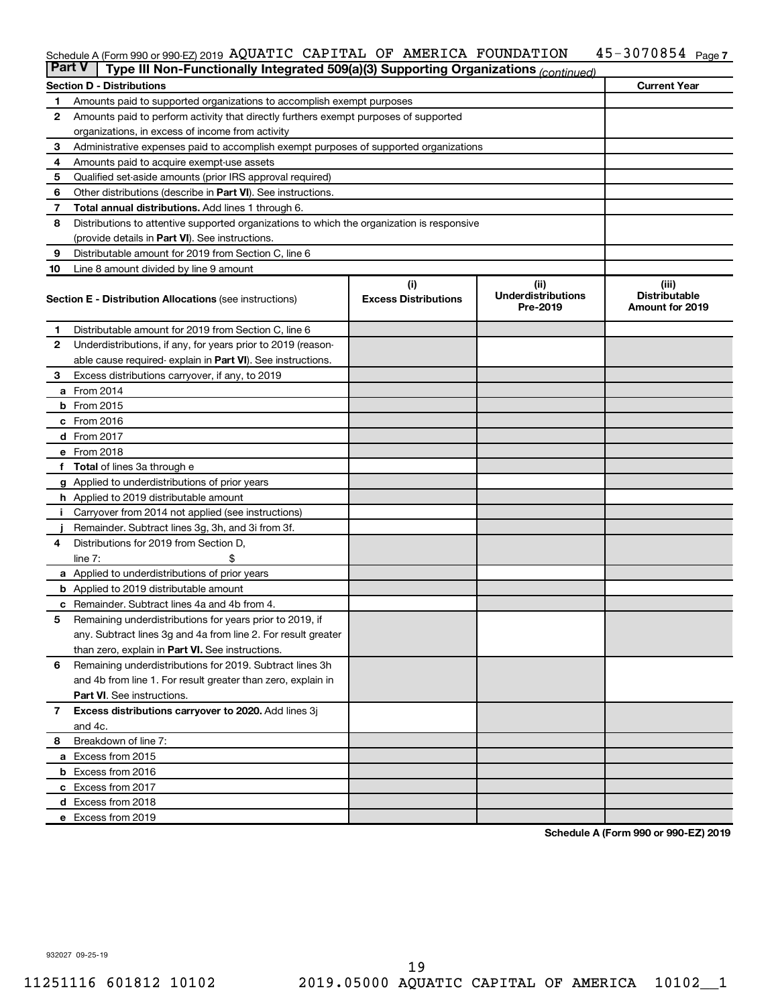#### 45-3070854 Page 7 Schedule A (Form 990 or 990-EZ) 2019 AQUATIC CAPITAL OF AMERICA FOUNDATION 45-3070854 Page AQUATIC CAPITAL OF AMERICA FOUNDATION 45-3070854

| <b>Part V</b> | Type III Non-Functionally Integrated 509(a)(3) Supporting Organizations (continued)        |                                    |                                               |                                                         |
|---------------|--------------------------------------------------------------------------------------------|------------------------------------|-----------------------------------------------|---------------------------------------------------------|
|               | <b>Section D - Distributions</b>                                                           |                                    |                                               | <b>Current Year</b>                                     |
| 1             | Amounts paid to supported organizations to accomplish exempt purposes                      |                                    |                                               |                                                         |
| $\mathbf{2}$  | Amounts paid to perform activity that directly furthers exempt purposes of supported       |                                    |                                               |                                                         |
|               | organizations, in excess of income from activity                                           |                                    |                                               |                                                         |
| 3             | Administrative expenses paid to accomplish exempt purposes of supported organizations      |                                    |                                               |                                                         |
| 4             | Amounts paid to acquire exempt-use assets                                                  |                                    |                                               |                                                         |
| 5             | Qualified set-aside amounts (prior IRS approval required)                                  |                                    |                                               |                                                         |
| 6             | Other distributions (describe in <b>Part VI</b> ). See instructions.                       |                                    |                                               |                                                         |
| 7             | Total annual distributions. Add lines 1 through 6.                                         |                                    |                                               |                                                         |
| 8             | Distributions to attentive supported organizations to which the organization is responsive |                                    |                                               |                                                         |
|               | (provide details in Part VI). See instructions.                                            |                                    |                                               |                                                         |
| 9             | Distributable amount for 2019 from Section C, line 6                                       |                                    |                                               |                                                         |
| 10            | Line 8 amount divided by line 9 amount                                                     |                                    |                                               |                                                         |
|               | <b>Section E - Distribution Allocations (see instructions)</b>                             | (i)<br><b>Excess Distributions</b> | (ii)<br><b>Underdistributions</b><br>Pre-2019 | (iii)<br><b>Distributable</b><br><b>Amount for 2019</b> |
| 1             | Distributable amount for 2019 from Section C, line 6                                       |                                    |                                               |                                                         |
| $\mathbf{2}$  | Underdistributions, if any, for years prior to 2019 (reason-                               |                                    |                                               |                                                         |
|               | able cause required- explain in Part VI). See instructions.                                |                                    |                                               |                                                         |
| 3             | Excess distributions carryover, if any, to 2019                                            |                                    |                                               |                                                         |
|               | a From 2014                                                                                |                                    |                                               |                                                         |
|               | <b>b</b> From 2015                                                                         |                                    |                                               |                                                         |
|               | c From 2016                                                                                |                                    |                                               |                                                         |
|               | d From 2017                                                                                |                                    |                                               |                                                         |
|               | e From 2018                                                                                |                                    |                                               |                                                         |
|               | f Total of lines 3a through e                                                              |                                    |                                               |                                                         |
|               | <b>g</b> Applied to underdistributions of prior years                                      |                                    |                                               |                                                         |
|               | <b>h</b> Applied to 2019 distributable amount                                              |                                    |                                               |                                                         |
| Ť.            | Carryover from 2014 not applied (see instructions)                                         |                                    |                                               |                                                         |
|               | Remainder. Subtract lines 3g, 3h, and 3i from 3f.                                          |                                    |                                               |                                                         |
| 4             | Distributions for 2019 from Section D,                                                     |                                    |                                               |                                                         |
|               | line $7:$                                                                                  |                                    |                                               |                                                         |
|               | <b>a</b> Applied to underdistributions of prior years                                      |                                    |                                               |                                                         |
|               | <b>b</b> Applied to 2019 distributable amount                                              |                                    |                                               |                                                         |
| с             | Remainder. Subtract lines 4a and 4b from 4.                                                |                                    |                                               |                                                         |
| 5             | Remaining underdistributions for years prior to 2019, if                                   |                                    |                                               |                                                         |
|               | any. Subtract lines 3g and 4a from line 2. For result greater                              |                                    |                                               |                                                         |
|               | than zero, explain in Part VI. See instructions.                                           |                                    |                                               |                                                         |
| 6             | Remaining underdistributions for 2019. Subtract lines 3h                                   |                                    |                                               |                                                         |
|               | and 4b from line 1. For result greater than zero, explain in                               |                                    |                                               |                                                         |
|               | <b>Part VI.</b> See instructions.                                                          |                                    |                                               |                                                         |
| $\mathbf{7}$  | Excess distributions carryover to 2020. Add lines 3j                                       |                                    |                                               |                                                         |
|               | and 4c.                                                                                    |                                    |                                               |                                                         |
| 8             | Breakdown of line 7:                                                                       |                                    |                                               |                                                         |
|               | a Excess from 2015                                                                         |                                    |                                               |                                                         |
|               | <b>b</b> Excess from 2016                                                                  |                                    |                                               |                                                         |
|               | c Excess from 2017                                                                         |                                    |                                               |                                                         |
|               | d Excess from 2018                                                                         |                                    |                                               |                                                         |
|               | e Excess from 2019                                                                         |                                    |                                               |                                                         |

**Schedule A (Form 990 or 990-EZ) 2019**

932027 09-25-19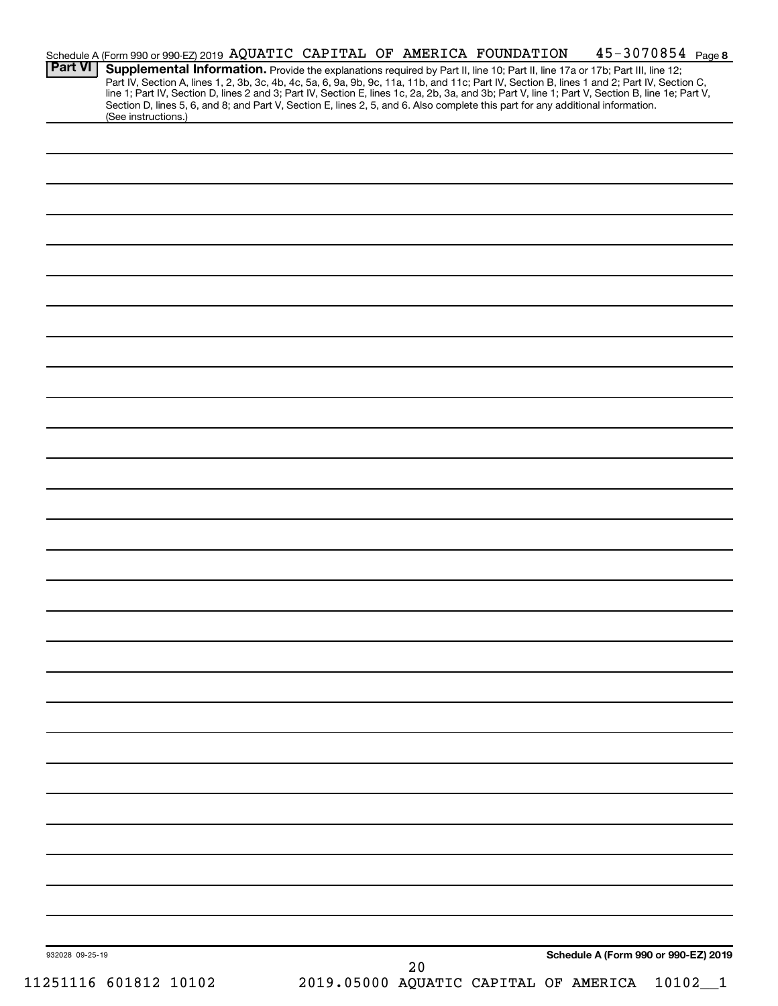|                 | 11251116 601812 10102 |  |  | 2019.05000 AQUATIC CAPITAL OF AMERICA |                                                                                                                                                                                                                                                                                                                                                                |                                      | 10102 |  |
|-----------------|-----------------------|--|--|---------------------------------------|----------------------------------------------------------------------------------------------------------------------------------------------------------------------------------------------------------------------------------------------------------------------------------------------------------------------------------------------------------------|--------------------------------------|-------|--|
| 932028 09-25-19 |                       |  |  | 20                                    |                                                                                                                                                                                                                                                                                                                                                                | Schedule A (Form 990 or 990-EZ) 2019 |       |  |
|                 |                       |  |  |                                       |                                                                                                                                                                                                                                                                                                                                                                |                                      |       |  |
|                 |                       |  |  |                                       |                                                                                                                                                                                                                                                                                                                                                                |                                      |       |  |
|                 |                       |  |  |                                       |                                                                                                                                                                                                                                                                                                                                                                |                                      |       |  |
|                 |                       |  |  |                                       |                                                                                                                                                                                                                                                                                                                                                                |                                      |       |  |
|                 |                       |  |  |                                       |                                                                                                                                                                                                                                                                                                                                                                |                                      |       |  |
|                 |                       |  |  |                                       |                                                                                                                                                                                                                                                                                                                                                                |                                      |       |  |
|                 |                       |  |  |                                       |                                                                                                                                                                                                                                                                                                                                                                |                                      |       |  |
|                 |                       |  |  |                                       |                                                                                                                                                                                                                                                                                                                                                                |                                      |       |  |
|                 |                       |  |  |                                       |                                                                                                                                                                                                                                                                                                                                                                |                                      |       |  |
|                 |                       |  |  |                                       |                                                                                                                                                                                                                                                                                                                                                                |                                      |       |  |
|                 |                       |  |  |                                       |                                                                                                                                                                                                                                                                                                                                                                |                                      |       |  |
|                 |                       |  |  |                                       |                                                                                                                                                                                                                                                                                                                                                                |                                      |       |  |
|                 |                       |  |  |                                       |                                                                                                                                                                                                                                                                                                                                                                |                                      |       |  |
|                 |                       |  |  |                                       |                                                                                                                                                                                                                                                                                                                                                                |                                      |       |  |
|                 |                       |  |  |                                       |                                                                                                                                                                                                                                                                                                                                                                |                                      |       |  |
|                 |                       |  |  |                                       |                                                                                                                                                                                                                                                                                                                                                                |                                      |       |  |
|                 |                       |  |  |                                       |                                                                                                                                                                                                                                                                                                                                                                |                                      |       |  |
|                 |                       |  |  |                                       |                                                                                                                                                                                                                                                                                                                                                                |                                      |       |  |
|                 |                       |  |  |                                       |                                                                                                                                                                                                                                                                                                                                                                |                                      |       |  |
|                 |                       |  |  |                                       |                                                                                                                                                                                                                                                                                                                                                                |                                      |       |  |
|                 |                       |  |  |                                       |                                                                                                                                                                                                                                                                                                                                                                |                                      |       |  |
|                 |                       |  |  |                                       |                                                                                                                                                                                                                                                                                                                                                                |                                      |       |  |
|                 |                       |  |  |                                       |                                                                                                                                                                                                                                                                                                                                                                |                                      |       |  |
|                 |                       |  |  |                                       |                                                                                                                                                                                                                                                                                                                                                                |                                      |       |  |
|                 |                       |  |  |                                       |                                                                                                                                                                                                                                                                                                                                                                |                                      |       |  |
|                 |                       |  |  |                                       |                                                                                                                                                                                                                                                                                                                                                                |                                      |       |  |
|                 |                       |  |  |                                       |                                                                                                                                                                                                                                                                                                                                                                |                                      |       |  |
|                 |                       |  |  |                                       |                                                                                                                                                                                                                                                                                                                                                                |                                      |       |  |
|                 |                       |  |  |                                       |                                                                                                                                                                                                                                                                                                                                                                |                                      |       |  |
|                 |                       |  |  |                                       |                                                                                                                                                                                                                                                                                                                                                                |                                      |       |  |
|                 |                       |  |  |                                       |                                                                                                                                                                                                                                                                                                                                                                |                                      |       |  |
|                 |                       |  |  |                                       |                                                                                                                                                                                                                                                                                                                                                                |                                      |       |  |
|                 | (See instructions.)   |  |  |                                       | Section D, lines 5, 6, and 8; and Part V, Section E, lines 2, 5, and 6. Also complete this part for any additional information.                                                                                                                                                                                                                                |                                      |       |  |
|                 |                       |  |  |                                       |                                                                                                                                                                                                                                                                                                                                                                |                                      |       |  |
| <b>Part VI</b>  |                       |  |  |                                       | Supplemental Information. Provide the explanations required by Part II, line 10; Part II, line 17a or 17b; Part III, line 12;<br>Part IV, Section A, lines 1, 2, 3b, 3c, 4b, 4c, 5a, 6, 9a, 9b, 9c, 11a, 11b, and 11c; Part IV, Section B, lines 1 and 2; Part IV, Section C, line 1; Part IV, Section D, lines 2 and 3; Part IV, Section E, lines 1c, 2a, 2b, |                                      |       |  |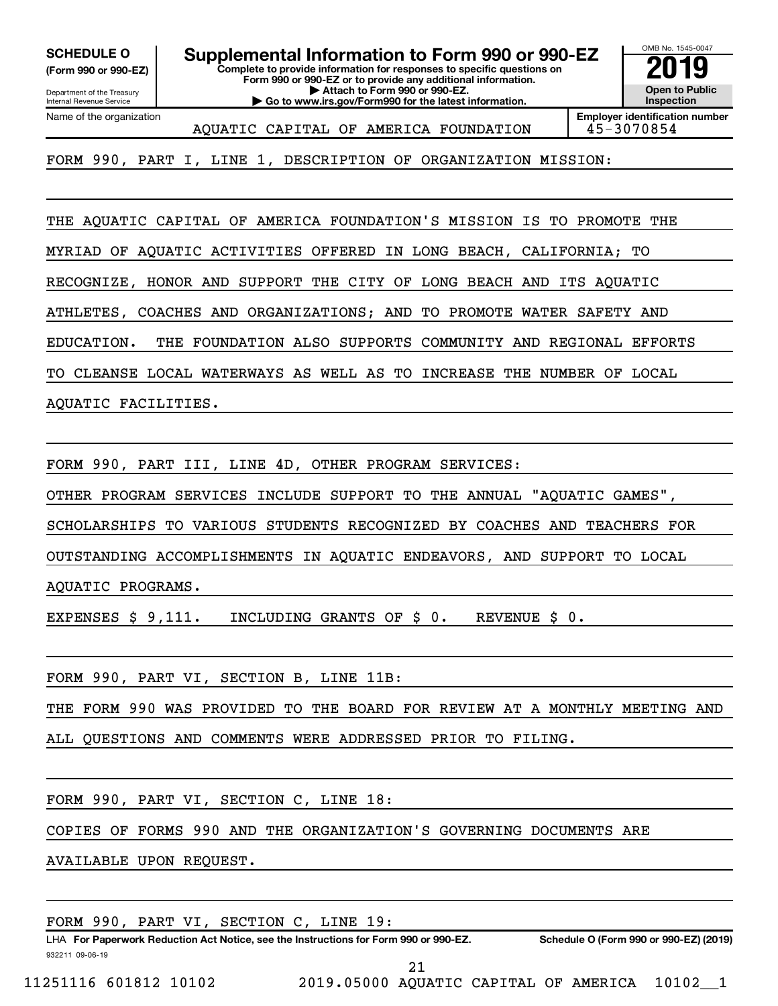Department of the Treasury **(Form 990 or 990-EZ)**

Name of the organization

Internal Revenue Service

**Complete to provide information for responses to specific questions on SCHEDULE O Supplemental Information to Form 990 or 990-EZ 2019** 

**Form 990 or 990-EZ or to provide any additional information. | Attach to Form 990 or 990-EZ.**

**| Go to www.irs.gov/Form990 for the latest information.**



AQUATIC CAPITAL OF AMERICA FOUNDATION 45-3070854

**Employer identification number**

FORM 990, PART I, LINE 1, DESCRIPTION OF ORGANIZATION MISSION:

THE AQUATIC CAPITAL OF AMERICA FOUNDATION'S MISSION IS TO PROMOTE THE

MYRIAD OF AQUATIC ACTIVITIES OFFERED IN LONG BEACH, CALIFORNIA; TO

RECOGNIZE, HONOR AND SUPPORT THE CITY OF LONG BEACH AND ITS AQUATIC

ATHLETES, COACHES AND ORGANIZATIONS; AND TO PROMOTE WATER SAFETY AND

EDUCATION. THE FOUNDATION ALSO SUPPORTS COMMUNITY AND REGIONAL EFFORTS

TO CLEANSE LOCAL WATERWAYS AS WELL AS TO INCREASE THE NUMBER OF LOCAL

AQUATIC FACILITIES.

FORM 990, PART III, LINE 4D, OTHER PROGRAM SERVICES:

OTHER PROGRAM SERVICES INCLUDE SUPPORT TO THE ANNUAL "AQUATIC GAMES",

SCHOLARSHIPS TO VARIOUS STUDENTS RECOGNIZED BY COACHES AND TEACHERS FOR

OUTSTANDING ACCOMPLISHMENTS IN AQUATIC ENDEAVORS, AND SUPPORT TO LOCAL

AQUATIC PROGRAMS.

EXPENSES \$ 9,111. INCLUDING GRANTS OF \$ 0. REVENUE \$ 0.

FORM 990, PART VI, SECTION B, LINE 11B:

THE FORM 990 WAS PROVIDED TO THE BOARD FOR REVIEW AT A MONTHLY MEETING AND

ALL QUESTIONS AND COMMENTS WERE ADDRESSED PRIOR TO FILING.

FORM 990, PART VI, SECTION C, LINE 18:

COPIES OF FORMS 990 AND THE ORGANIZATION'S GOVERNING DOCUMENTS ARE

AVAILABLE UPON REQUEST.

| FORM 990, PART VI, SECTION C, LINE 19: |  |  |
|----------------------------------------|--|--|
|----------------------------------------|--|--|

932211 09-06-19 LHA For Paperwork Reduction Act Notice, see the Instructions for Form 990 or 990-EZ. Schedule O (Form 990 or 990-EZ) (2019)